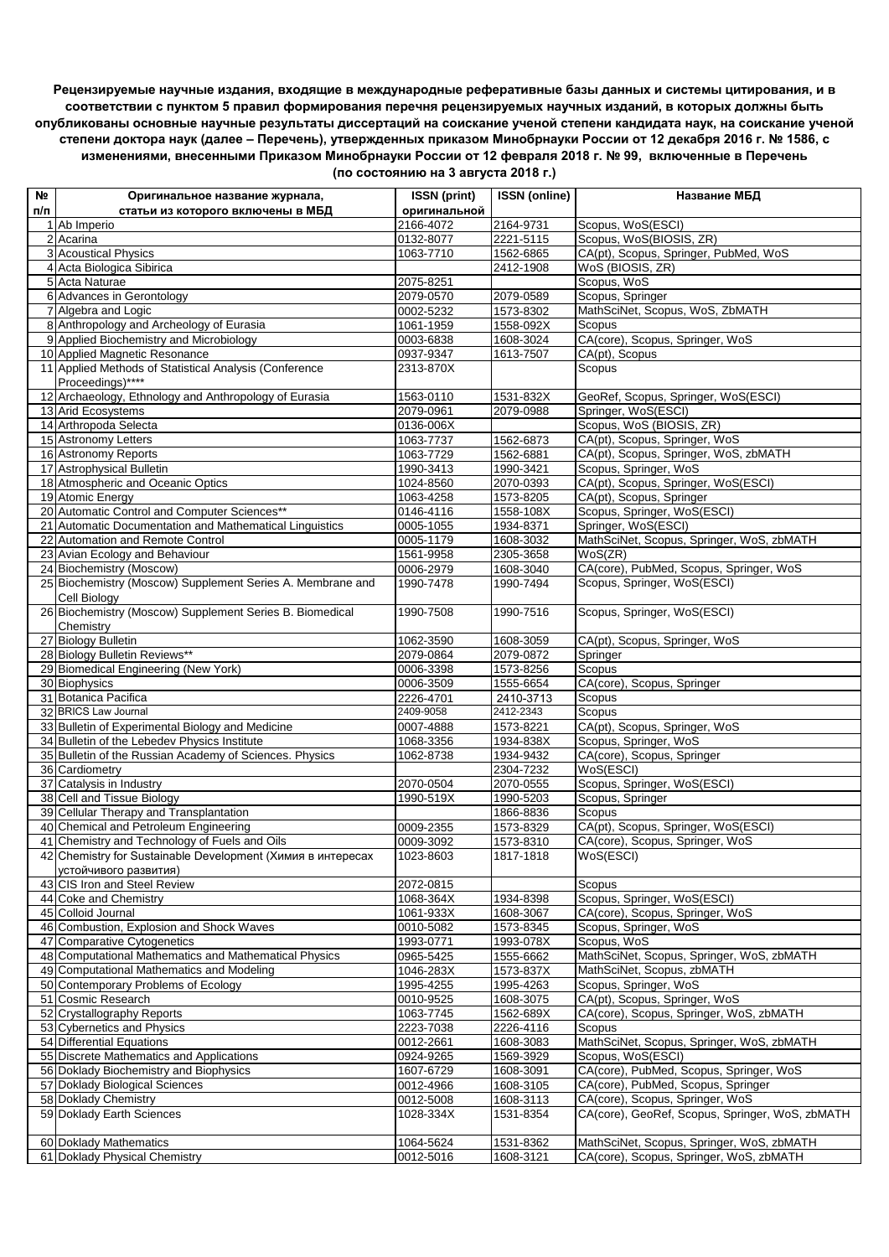**Рецензируемые научные издания, входящие в международные реферативные базы данных и системы цитирования, и в соответствии с пунктом 5 правил формирования перечня рецензируемых научных изданий, в которых должны быть опубликованы основные научные результаты диссертаций на соискание ученой степени кандидата наук, на соискание ученой степени доктора наук (далее – Перечень), утвержденных приказом Минобрнауки России от 12 декабря 2016 г. № 1586, с изменениями, внесенными Приказом Минобрнауки России от 12 февраля 2018 г. № 99, включенные в Перечень** 

| Nº  | Оригинальное название журнала,                                   | <b>ISSN</b> (print)    | <b>ISSN (online)</b>   | Название МБД                                                   |
|-----|------------------------------------------------------------------|------------------------|------------------------|----------------------------------------------------------------|
| п/п | статьи из которого включены в МБД                                | оригинальной           |                        |                                                                |
|     | 1 Ab Imperio                                                     | 2166-4072              | 2164-9731              | Scopus, WoS(ESCI)                                              |
|     | 2 Acarina                                                        | 0132-8077              | 2221-5115              | Scopus, WoS(BIOSIS, ZR)                                        |
|     | 3 Acoustical Physics                                             | 1063-7710              | 1562-6865              | CA(pt), Scopus, Springer, PubMed, WoS                          |
|     | 4 Acta Biologica Sibirica                                        |                        | 2412-1908              | WoS (BIOSIS, ZR)                                               |
|     | 5 Acta Naturae                                                   | 2075-8251              |                        | Scopus, WoS                                                    |
|     | 6 Advances in Gerontology                                        | 2079-0570              | 2079-0589              | Scopus, Springer                                               |
|     | 7 Algebra and Logic                                              | 0002-5232              | 1573-8302              | MathSciNet, Scopus, WoS, ZbMATH                                |
|     | 8 Anthropology and Archeology of Eurasia                         | 1061-1959              | 1558-092X              | Scopus                                                         |
|     | 9 Applied Biochemistry and Microbiology                          | 0003-6838              | 1608-3024              | CA(core), Scopus, Springer, WoS                                |
|     | 10 Applied Magnetic Resonance                                    | 0937-9347              | 1613-7507              | CA(pt), Scopus                                                 |
|     | 11 Applied Methods of Statistical Analysis (Conference           | 2313-870X              |                        | Scopus                                                         |
|     | Proceedings)****                                                 |                        |                        |                                                                |
|     | 12 Archaeology, Ethnology and Anthropology of Eurasia            | 1563-0110              | 1531-832X              | GeoRef, Scopus, Springer, WoS(ESCI)                            |
|     | 13 Arid Ecosystems                                               | 2079-0961              | 2079-0988              | Springer, WoS(ESCI)                                            |
|     | 14 Arthropoda Selecta                                            | 0136-006X              |                        | Scopus, WoS (BIOSIS, ZR)                                       |
|     | 15 Astronomy Letters                                             | 1063-7737              | 1562-6873              | CA(pt), Scopus, Springer, WoS                                  |
|     | 16 Astronomy Reports                                             | 1063-7729              | 1562-6881              | CA(pt), Scopus, Springer, WoS, zbMATH                          |
|     | 17 Astrophysical Bulletin<br>18 Atmospheric and Oceanic Optics   | 1990-3413              | 1990-3421              | Scopus, Springer, WoS<br>CA(pt), Scopus, Springer, WoS(ESCI)   |
|     |                                                                  | 1024-8560              | 2070-0393              |                                                                |
|     | 19 Atomic Energy<br>20 Automatic Control and Computer Sciences** | 1063-4258<br>0146-4116 | 1573-8205<br>1558-108X | CA(pt), Scopus, Springer<br>Scopus, Springer, WoS(ESCI)        |
|     | 21 Automatic Documentation and Mathematical Linguistics          | 0005-1055              | 1934-8371              | Springer, WoS(ESCI)                                            |
|     | 22 Automation and Remote Control                                 | 0005-1179              | 1608-3032              | MathSciNet, Scopus, Springer, WoS, zbMATH                      |
|     | 23 Avian Ecology and Behaviour                                   | 1561-9958              | 2305-3658              | WoS(ZR)                                                        |
|     | 24 Biochemistry (Moscow)                                         | 0006-2979              | 1608-3040              | CA(core), PubMed, Scopus, Springer, WoS                        |
|     | 25 Biochemistry (Moscow) Supplement Series A. Membrane and       | 1990-7478              | 1990-7494              | Scopus, Springer, WoS(ESCI)                                    |
|     | Cell Biology                                                     |                        |                        |                                                                |
|     | 26 Biochemistry (Moscow) Supplement Series B. Biomedical         | 1990-7508              | 1990-7516              | Scopus, Springer, WoS(ESCI)                                    |
|     | Chemistry                                                        |                        |                        |                                                                |
|     | 27 Biology Bulletin                                              | 1062-3590              | 1608-3059              | CA(pt), Scopus, Springer, WoS                                  |
|     | 28 Biology Bulletin Reviews**                                    | 2079-0864              | 2079-0872              | Springer                                                       |
|     | 29 Biomedical Engineering (New York)                             | 0006-3398              | 1573-8256              | Scopus                                                         |
|     | 30 Biophysics                                                    | 0006-3509              | 1555-6654              | CA(core), Scopus, Springer                                     |
|     | 31 Botanica Pacifica                                             | 2226-4701              | 2410-3713              | Scopus                                                         |
|     | 32 BRICS Law Journal                                             | 2409-9058              | 2412-2343              | <b>Scopus</b>                                                  |
|     | 33 Bulletin of Experimental Biology and Medicine                 | 0007-4888              | 1573-8221              | CA(pt), Scopus, Springer, WoS                                  |
|     | 34 Bulletin of the Lebedev Physics Institute                     | 1068-3356              | 1934-838X              | Scopus, Springer, WoS                                          |
|     | 35 Bulletin of the Russian Academy of Sciences. Physics          | 1062-8738              | 1934-9432              | CA(core), Scopus, Springer                                     |
|     | 36 Cardiometry                                                   |                        | 2304-7232              | WoS(ESCI)                                                      |
|     | 37 Catalysis in Industry                                         | 2070-0504              | 2070-0555              | Scopus, Springer, WoS(ESCI)                                    |
|     | 38 Cell and Tissue Biology                                       | 1990-519X              | 1990-5203              | Scopus, Springer                                               |
|     | 39 Cellular Therapy and Transplantation                          |                        | 1866-8836              | Scopus                                                         |
|     | 40 Chemical and Petroleum Engineering                            | 0009-2355              | 1573-8329              | CA(pt), Scopus, Springer, WoS(ESCI)                            |
|     | 41 Chemistry and Technology of Fuels and Oils                    | 0009-3092              | 1573-8310              | CA(core), Scopus, Springer, WoS                                |
|     | 42 Chemistry for Sustainable Development (Химия в интересах      | 1023-8603              | 1817-1818              | WoS(ESCI)                                                      |
|     | устойчивого развития)                                            |                        |                        |                                                                |
|     | 43 CIS Iron and Steel Review<br>44 Coke and Chemistry            | 2072-0815              |                        | Scopus                                                         |
|     | 45 Colloid Journal                                               | 1068-364X<br>1061-933X | 1934-8398<br>1608-3067 | Scopus, Springer, WoS(ESCI)<br>CA(core), Scopus, Springer, WoS |
|     | 46 Combustion, Explosion and Shock Waves                         | 0010-5082              | 1573-8345              | Scopus, Springer, WoS                                          |
|     | 47 Comparative Cytogenetics                                      | 1993-0771              | 1993-078X              | Scopus, WoS                                                    |
|     | 48 Computational Mathematics and Mathematical Physics            | 0965-5425              | 1555-6662              | MathSciNet, Scopus, Springer, WoS, zbMATH                      |
|     | 49 Computational Mathematics and Modeling                        | 1046-283X              | 1573-837X              | MathSciNet, Scopus, zbMATH                                     |
|     | 50 Contemporary Problems of Ecology                              | 1995-4255              | 1995-4263              | Scopus, Springer, WoS                                          |
|     | 51 Cosmic Research                                               | 0010-9525              | 1608-3075              | CA(pt), Scopus, Springer, WoS                                  |
|     | 52 Crystallography Reports                                       | 1063-7745              | 1562-689X              | CA(core), Scopus, Springer, WoS, zbMATH                        |
|     | 53 Cybernetics and Physics                                       | 2223-7038              | 2226-4116              | Scopus                                                         |
|     | 54 Differential Equations                                        | 0012-2661              | 1608-3083              | MathSciNet, Scopus, Springer, WoS, zbMATH                      |
|     | 55 Discrete Mathematics and Applications                         | 0924-9265              | 1569-3929              | Scopus, WoS(ESCI)                                              |
|     | 56 Doklady Biochemistry and Biophysics                           | 1607-6729              | 1608-3091              | CA(core), PubMed, Scopus, Springer, WoS                        |
|     | 57 Doklady Biological Sciences                                   | 0012-4966              | 1608-3105              | CA(core), PubMed, Scopus, Springer                             |
|     | 58 Doklady Chemistry                                             | 0012-5008              | 1608-3113              | CA(core), Scopus, Springer, WoS                                |
|     | 59 Doklady Earth Sciences                                        | 1028-334X              | 1531-8354              | CA(core), GeoRef, Scopus, Springer, WoS, zbMATH                |
|     |                                                                  |                        |                        |                                                                |
|     | 60 Doklady Mathematics                                           | 1064-5624              | 1531-8362              | MathSciNet, Scopus, Springer, WoS, zbMATH                      |
|     | 61 Doklady Physical Chemistry                                    | 0012-5016              | 1608-3121              | CA(core), Scopus, Springer, WoS, zbMATH                        |

**(по состоянию на 3 августа 2018 г.)**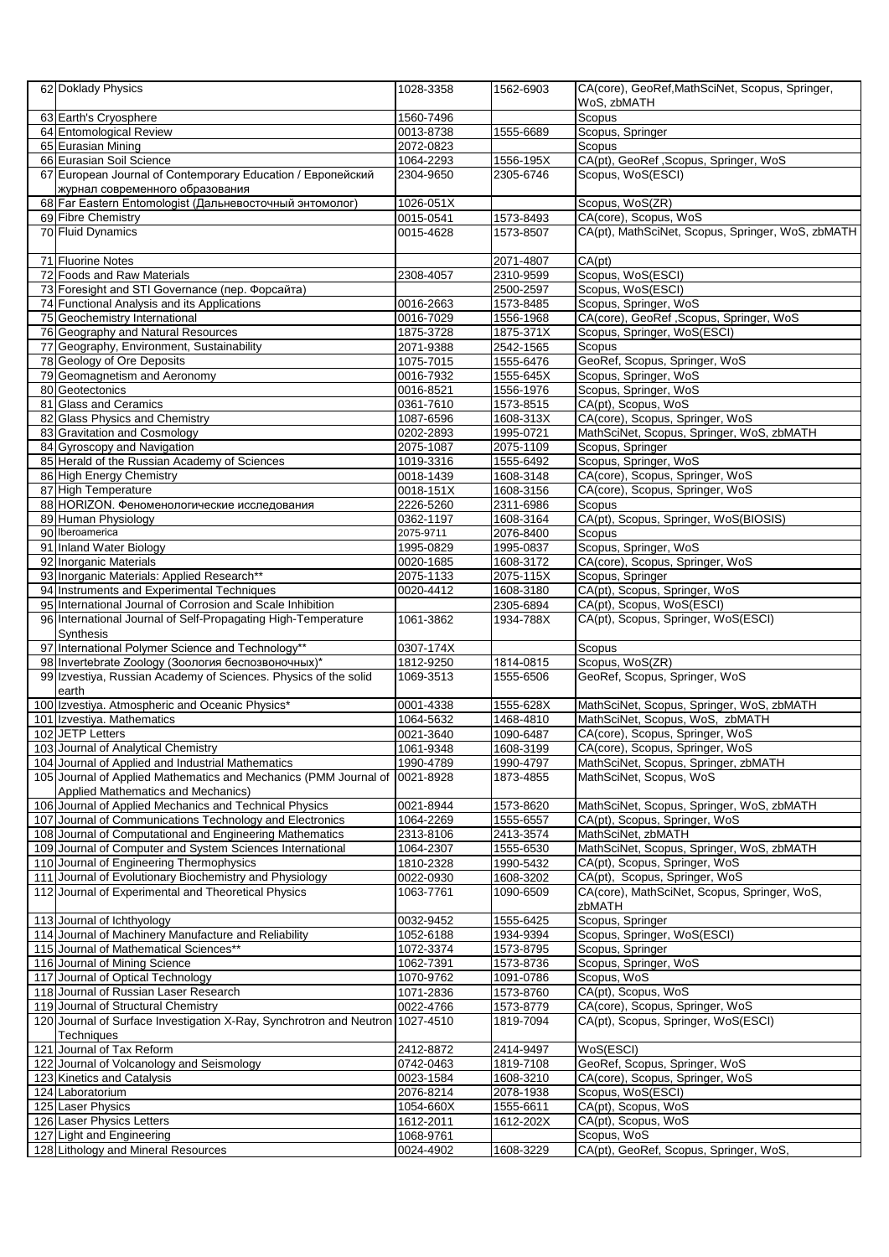| 62 Doklady Physics                                                                                                    | 1028-3358              | 1562-6903              | CA(core), GeoRef, MathSciNet, Scopus, Springer,<br>WoS, zbMATH     |
|-----------------------------------------------------------------------------------------------------------------------|------------------------|------------------------|--------------------------------------------------------------------|
| 63 Earth's Cryosphere                                                                                                 | 1560-7496              |                        | Scopus                                                             |
| 64 Entomological Review                                                                                               | 0013-8738              | 1555-6689              | Scopus, Springer                                                   |
| 65 Eurasian Mining                                                                                                    | 2072-0823              |                        | Scopus                                                             |
| 66 Eurasian Soil Science                                                                                              | 1064-2293              | 1556-195X              | CA(pt), GeoRef , Scopus, Springer, WoS                             |
| 67 European Journal of Contemporary Education / Европейский<br>журнал современного образования                        | 2304-9650              | 2305-6746              | Scopus, WoS(ESCI)                                                  |
| 68 Far Eastern Entomologist (Дальневосточный энтомолог)                                                               | 1026-051X              |                        | Scopus, WoS(ZR)                                                    |
| 69 Fibre Chemistry                                                                                                    | 0015-0541              | 1573-8493              | CA(core), Scopus, WoS                                              |
| 70 Fluid Dynamics                                                                                                     | 0015-4628              | 1573-8507              | CA(pt), MathSciNet, Scopus, Springer, WoS, zbMATH                  |
| 71 Fluorine Notes                                                                                                     |                        | 2071-4807              | CA(pt)                                                             |
| 72 Foods and Raw Materials                                                                                            | 2308-4057              | 2310-9599              | Scopus, WoS(ESCI)                                                  |
| 73 Foresight and STI Governance (пер. Форсайта)                                                                       |                        | 2500-2597              | Scopus, WoS(ESCI)                                                  |
| 74 Functional Analysis and its Applications                                                                           | 0016-2663              | 1573-8485              | Scopus, Springer, WoS                                              |
| 75 Geochemistry International                                                                                         | 0016-7029              | 1556-1968              | CA(core), GeoRef, Scopus, Springer, WoS                            |
| 76 Geography and Natural Resources                                                                                    | 1875-3728              | 1875-371X              | Scopus, Springer, WoS(ESCI)                                        |
| 77 Geography, Environment, Sustainability                                                                             | 2071-9388              | 2542-1565              | Scopus                                                             |
| 78 Geology of Ore Deposits<br>79 Geomagnetism and Aeronomy                                                            | 1075-7015<br>0016-7932 | 1555-6476<br>1555-645X | GeoRef, Scopus, Springer, WoS<br>Scopus, Springer, WoS             |
| 80 Geotectonics                                                                                                       | 0016-8521              | 1556-1976              | Scopus, Springer, WoS                                              |
| 81 Glass and Ceramics                                                                                                 | 0361-7610              | 1573-8515              | CA(pt), Scopus, WoS                                                |
| 82 Glass Physics and Chemistry                                                                                        | 1087-6596              | 1608-313X              | CA(core), Scopus, Springer, WoS                                    |
| 83 Gravitation and Cosmology                                                                                          | 0202-2893              | 1995-0721              | MathSciNet, Scopus, Springer, WoS, zbMATH                          |
| 84 Gyroscopy and Navigation                                                                                           | 2075-1087              | 2075-1109              | Scopus, Springer                                                   |
| 85 Herald of the Russian Academy of Sciences                                                                          | 1019-3316              | 1555-6492              | Scopus, Springer, WoS                                              |
| 86 High Energy Chemistry                                                                                              | 0018-1439              | 1608-3148              | CA(core), Scopus, Springer, WoS                                    |
| 87 High Temperature                                                                                                   | 0018-151X              | 1608-3156              | CA(core), Scopus, Springer, WoS                                    |
| 88 HORIZON. Феноменологические исследования                                                                           | 2226-5260              | 2311-6986              | Scopus                                                             |
| 89 Human Physiology                                                                                                   | 0362-1197              | 1608-3164              | CA(pt), Scopus, Springer, WoS(BIOSIS)                              |
| 90 Iberoamerica                                                                                                       | 2075-9711              | 2076-8400              | Scopus                                                             |
| 91 Inland Water Biology                                                                                               | 1995-0829              | 1995-0837              | Scopus, Springer, WoS                                              |
| 92 Inorganic Materials                                                                                                | 0020-1685              | 1608-3172              | CA(core), Scopus, Springer, WoS                                    |
| 93 Inorganic Materials: Applied Research**                                                                            | 2075-1133              | 2075-115X              | Scopus, Springer                                                   |
| 94 Instruments and Experimental Techniques                                                                            | 0020-4412              | 1608-3180              | CA(pt), Scopus, Springer, WoS                                      |
| 95 International Journal of Corrosion and Scale Inhibition                                                            |                        | 2305-6894              | CA(pt), Scopus, WoS(ESCI)                                          |
| 96 International Journal of Self-Propagating High-Temperature<br>Synthesis                                            | 1061-3862              | 1934-788X              | CA(pt), Scopus, Springer, WoS(ESCI)                                |
| 97 International Polymer Science and Technology**                                                                     | 0307-174X              |                        | Scopus                                                             |
| 98 Invertebrate Zoology (Зоология беспозвоночных)*                                                                    | 1812-9250              | 1814-0815              | Scopus, WoS(ZR)                                                    |
| 99 Izvestiya, Russian Academy of Sciences. Physics of the solid                                                       | 1069-3513              | 1555-6506              | GeoRef, Scopus, Springer, WoS                                      |
| earth                                                                                                                 |                        |                        |                                                                    |
| 100 Izvestiya. Atmospheric and Oceanic Physics*                                                                       | 0001-4338<br>1064-5632 | 1555-628X              | MathSciNet, Scopus, Springer, WoS, zbMATH                          |
| 101 Izvestiya. Mathematics<br>102 JETP Letters                                                                        | 0021-3640              | 1468-4810<br>1090-6487 | MathSciNet, Scopus, WoS, zbMATH<br>CA(core), Scopus, Springer, WoS |
| 103 Journal of Analytical Chemistry                                                                                   | 1061-9348              | 1608-3199              | CA(core), Scopus, Springer, WoS                                    |
| 104 Journal of Applied and Industrial Mathematics                                                                     | 1990-4789              | 1990-4797              | MathSciNet, Scopus, Springer, zbMATH                               |
| 105 Journal of Applied Mathematics and Mechanics (PMM Journal of 0021-8928                                            |                        | 1873-4855              | MathSciNet, Scopus, WoS                                            |
| Applied Mathematics and Mechanics)                                                                                    |                        |                        |                                                                    |
| 106 Journal of Applied Mechanics and Technical Physics                                                                | 0021-8944              | 1573-8620              | MathSciNet, Scopus, Springer, WoS, zbMATH                          |
| 107 Journal of Communications Technology and Electronics                                                              | 1064-2269              | 1555-6557              | CA(pt), Scopus, Springer, WoS                                      |
| 108 Journal of Computational and Engineering Mathematics<br>109 Journal of Computer and System Sciences International | 2313-8106<br>1064-2307 | 2413-3574<br>1555-6530 | MathSciNet, zbMATH<br>MathSciNet, Scopus, Springer, WoS, zbMATH    |
| 110 Journal of Engineering Thermophysics                                                                              | 1810-2328              | 1990-5432              | CA(pt), Scopus, Springer, WoS                                      |
| 111 Journal of Evolutionary Biochemistry and Physiology                                                               | 0022-0930              | 1608-3202              | CA(pt), Scopus, Springer, WoS                                      |
| 112 Journal of Experimental and Theoretical Physics                                                                   | 1063-7761              | 1090-6509              | CA(core), MathSciNet, Scopus, Springer, WoS,                       |
|                                                                                                                       |                        |                        | zbMATH                                                             |
| 113 Journal of Ichthyology<br>114 Journal of Machinery Manufacture and Reliability                                    | 0032-9452              | 1555-6425<br>1934-9394 | Scopus, Springer                                                   |
| 115 Journal of Mathematical Sciences**                                                                                | 1052-6188<br>1072-3374 | 1573-8795              | Scopus, Springer, WoS(ESCI)<br>Scopus, Springer                    |
| 116 Journal of Mining Science                                                                                         | 1062-7391              | 1573-8736              | Scopus, Springer, WoS                                              |
| 117 Journal of Optical Technology                                                                                     | 1070-9762              | 1091-0786              | Scopus, WoS                                                        |
| 118 Journal of Russian Laser Research                                                                                 | 1071-2836              | 1573-8760              | CA(pt), Scopus, WoS                                                |
| 119 Journal of Structural Chemistry                                                                                   | 0022-4766              | 1573-8779              | CA(core), Scopus, Springer, WoS                                    |
| 120 Journal of Surface Investigation X-Ray, Synchrotron and Neutron 1027-4510<br>Techniques                           |                        | 1819-7094              | CA(pt), Scopus, Springer, WoS(ESCI)                                |
| 121 Journal of Tax Reform                                                                                             | 2412-8872              | 2414-9497              | WoS(ESCI)                                                          |
| 122 Journal of Volcanology and Seismology                                                                             | 0742-0463              | 1819-7108              | GeoRef, Scopus, Springer, WoS                                      |
| 123 Kinetics and Catalysis                                                                                            | 0023-1584              | 1608-3210              | CA(core), Scopus, Springer, WoS                                    |
| 124 Laboratorium                                                                                                      | 2076-8214              | 2078-1938              | Scopus, WoS(ESCI)                                                  |
| 125 Laser Physics                                                                                                     | 1054-660X              | 1555-6611              | CA(pt), Scopus, WoS                                                |
| 126 Laser Physics Letters                                                                                             | 1612-2011              | 1612-202X              | CA(pt), Scopus, WoS                                                |
| 127 Light and Engineering                                                                                             | 1068-9761              |                        | Scopus, WoS                                                        |
| 128 Lithology and Mineral Resources                                                                                   | 0024-4902              | 1608-3229              | CA(pt), GeoRef, Scopus, Springer, WoS,                             |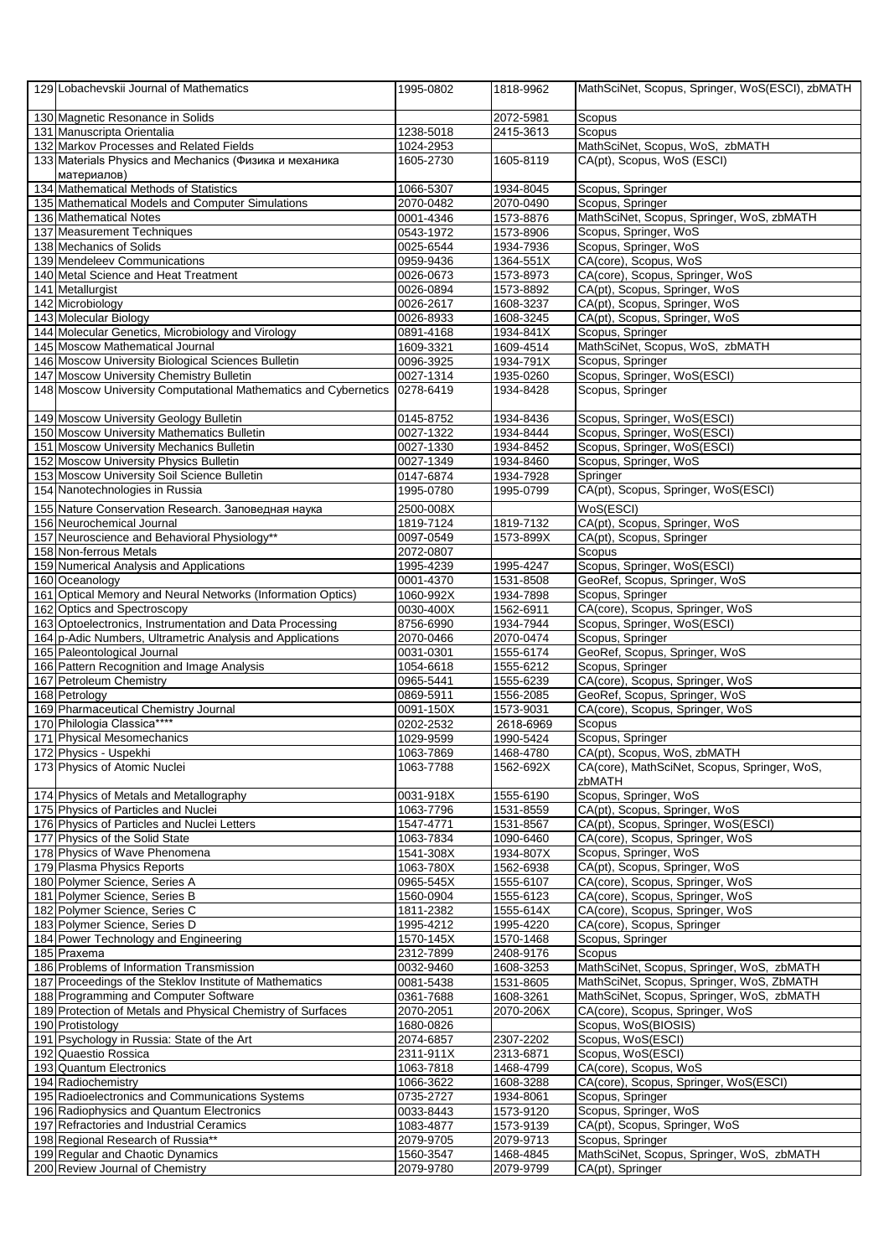| 129 Lobachevskii Journal of Mathematics                               | 1995-0802 | 1818-9962               | MathSciNet, Scopus, Springer, WoS(ESCI), zbMATH        |
|-----------------------------------------------------------------------|-----------|-------------------------|--------------------------------------------------------|
| 130 Magnetic Resonance in Solids                                      |           | 2072-5981               | Scopus                                                 |
| 131 Manuscripta Orientalia                                            | 1238-5018 | $\overline{24}$ 15-3613 | Scopus                                                 |
| 132 Markov Processes and Related Fields                               | 1024-2953 |                         | MathSciNet, Scopus, WoS, zbMATH                        |
| 133 Materials Physics and Mechanics (Физика и механика<br>материалов) | 1605-2730 | 1605-8119               | CA(pt), Scopus, WoS (ESCI)                             |
| 134 Mathematical Methods of Statistics                                | 1066-5307 | 1934-8045               | Scopus, Springer                                       |
| 135 Mathematical Models and Computer Simulations                      | 2070-0482 | 2070-0490               | Scopus, Springer                                       |
| 136 Mathematical Notes                                                | 0001-4346 | 1573-8876               | MathSciNet, Scopus, Springer, WoS, zbMATH              |
| 137 Measurement Techniques                                            | 0543-1972 | 1573-8906               | Scopus, Springer, WoS                                  |
| 138 Mechanics of Solids                                               | 0025-6544 | 1934-7936               | Scopus, Springer, WoS                                  |
| 139 Mendeleev Communications                                          | 0959-9436 | 1364-551X               | CA(core), Scopus, WoS                                  |
| 140 Metal Science and Heat Treatment                                  | 0026-0673 | 1573-8973               | CA(core), Scopus, Springer, WoS                        |
| 141 Metallurgist                                                      | 0026-0894 | 1573-8892               | CA(pt), Scopus, Springer, WoS                          |
| 142 Microbiology                                                      | 0026-2617 | 1608-3237               | CA(pt), Scopus, Springer, WoS                          |
| 143 Molecular Biology                                                 | 0026-8933 | 1608-3245               | CA(pt), Scopus, Springer, WoS                          |
| 144 Molecular Genetics, Microbiology and Virology                     | 0891-4168 | 1934-841X               | Scopus, Springer                                       |
| 145 Moscow Mathematical Journal                                       | 1609-3321 | 1609-4514               | MathSciNet, Scopus, WoS, zbMATH                        |
| 146 Moscow University Biological Sciences Bulletin                    | 0096-3925 | 1934-791X               | Scopus, Springer                                       |
| 147 Moscow University Chemistry Bulletin                              | 0027-1314 | 1935-0260               | Scopus, Springer, WoS(ESCI)                            |
| 148 Moscow University Computational Mathematics and Cybernetics       | 0278-6419 | 1934-8428               | Scopus, Springer                                       |
|                                                                       |           |                         |                                                        |
| 149 Moscow University Geology Bulletin                                | 0145-8752 | 1934-8436               | Scopus, Springer, WoS(ESCI)                            |
| 150 Moscow University Mathematics Bulletin                            | 0027-1322 | 1934-8444               | Scopus, Springer, WoS(ESCI)                            |
| 151 Moscow University Mechanics Bulletin                              | 0027-1330 | 1934-8452               | Scopus, Springer, WoS(ESCI)                            |
| 152 Moscow University Physics Bulletin                                | 0027-1349 | 1934-8460               | Scopus, Springer, WoS                                  |
| 153 Moscow University Soil Science Bulletin                           | 0147-6874 | 1934-7928               | Springer                                               |
| 154 Nanotechnologies in Russia                                        | 1995-0780 | 1995-0799               | CA(pt), Scopus, Springer, WoS(ESCI)                    |
| 155 Nature Conservation Research. Заповедная наука                    | 2500-008X |                         | WoS(ESCI)                                              |
| 156 Neurochemical Journal                                             | 1819-7124 | 1819-7132               | CA(pt), Scopus, Springer, WoS                          |
| 157 Neuroscience and Behavioral Physiology**                          | 0097-0549 | 1573-899X               | CA(pt), Scopus, Springer                               |
| 158 Non-ferrous Metals                                                | 2072-0807 |                         | Scopus                                                 |
| 159 Numerical Analysis and Applications                               | 1995-4239 | 1995-4247               | Scopus, Springer, WoS(ESCI)                            |
| 160 Oceanology                                                        | 0001-4370 | 1531-8508               | GeoRef, Scopus, Springer, WoS                          |
| 161 Optical Memory and Neural Networks (Information Optics)           | 1060-992X | 1934-7898               | Scopus, Springer                                       |
| 162 Optics and Spectroscopy                                           | 0030-400X | 1562-6911               | CA(core), Scopus, Springer, WoS                        |
| 163 Optoelectronics, Instrumentation and Data Processing              | 8756-6990 | 1934-7944               | Scopus, Springer, WoS(ESCI)                            |
| 164 p-Adic Numbers, Ultrametric Analysis and Applications             | 2070-0466 | 2070-0474               | Scopus, Springer                                       |
| 165 Paleontological Journal                                           | 0031-0301 | 1555-6174               | GeoRef, Scopus, Springer, WoS                          |
| 166 Pattern Recognition and Image Analysis                            | 1054-6618 | 1555-6212               | Scopus, Springer                                       |
|                                                                       | 0965-5441 | 1555-6239               | CA(core), Scopus, Springer, WoS                        |
| 167 Petroleum Chemistry<br>168 Petrology                              | 0869-5911 |                         | GeoRef, Scopus, Springer, WoS                          |
| 169 Pharmaceutical Chemistry Journal                                  | 0091-150X | 1556-2085               |                                                        |
| 170 Philologia Classica****                                           |           | 1573-9031               | CA(core), Scopus, Springer, WoS<br>Scopus              |
|                                                                       | 0202-2532 | 2618-6969               |                                                        |
| 171 Physical Mesomechanics                                            | 1029-9599 | 1990-5424               | Scopus, Springer                                       |
| 172 Physics - Uspekhi                                                 | 1063-7869 | 1468-4780               | CA(pt), Scopus, WoS, zbMATH                            |
| 173 Physics of Atomic Nuclei                                          | 1063-7788 | 1562-692X               | CA(core), MathSciNet, Scopus, Springer, WoS,<br>zbMATH |
| 174 Physics of Metals and Metallography                               | 0031-918X | 1555-6190               | Scopus, Springer, WoS                                  |
| 175 Physics of Particles and Nuclei                                   | 1063-7796 | 1531-8559               | CA(pt), Scopus, Springer, WoS                          |
| 176 Physics of Particles and Nuclei Letters                           | 1547-4771 | 1531-8567               | CA(pt), Scopus, Springer, WoS(ESCI)                    |
| 177 Physics of the Solid State                                        | 1063-7834 | 1090-6460               | CA(core), Scopus, Springer, WoS                        |
| 178 Physics of Wave Phenomena                                         | 1541-308X | 1934-807X               | Scopus, Springer, WoS                                  |
| 179 Plasma Physics Reports                                            | 1063-780X | 1562-6938               | CA(pt), Scopus, Springer, WoS                          |
| 180 Polymer Science, Series A                                         | 0965-545X | 1555-6107               | CA(core), Scopus, Springer, WoS                        |
| 181 Polymer Science, Series B                                         | 1560-0904 | 1555-6123               | CA(core), Scopus, Springer, WoS                        |
| 182 Polymer Science, Series C                                         | 1811-2382 | 1555-614X               | CA(core), Scopus, Springer, WoS                        |
| 183 Polymer Science, Series D                                         | 1995-4212 | 1995-4220               | CA(core), Scopus, Springer                             |
| 184 Power Technology and Engineering                                  | 1570-145X | 1570-1468               | Scopus, Springer                                       |
| 185 Praxema                                                           | 2312-7899 | 2408-9176               | Scopus                                                 |
| 186 Problems of Information Transmission                              | 0032-9460 | 1608-3253               | MathSciNet, Scopus, Springer, WoS, zbMATH              |
| 187 Proceedings of the Steklov Institute of Mathematics               | 0081-5438 | 1531-8605               | MathSciNet, Scopus, Springer, WoS, ZbMATH              |
| 188 Programming and Computer Software                                 | 0361-7688 | 1608-3261               | MathSciNet, Scopus, Springer, WoS, zbMATH              |
| 189 Protection of Metals and Physical Chemistry of Surfaces           | 2070-2051 | 2070-206X               | CA(core), Scopus, Springer, WoS                        |
| 190 Protistology                                                      | 1680-0826 |                         | Scopus, WoS(BIOSIS)                                    |
| 191 Psychology in Russia: State of the Art                            | 2074-6857 | 2307-2202               | Scopus, WoS(ESCI)                                      |
| 192 Quaestio Rossica                                                  | 2311-911X | 2313-6871               | Scopus, WoS(ESCI)                                      |
| 193 Quantum Electronics                                               | 1063-7818 | 1468-4799               | CA(core), Scopus, WoS                                  |
| 194 Radiochemistry                                                    | 1066-3622 | 1608-3288               | CA(core), Scopus, Springer, WoS(ESCI)                  |
| 195 Radioelectronics and Communications Systems                       | 0735-2727 | 1934-8061               | Scopus, Springer                                       |
| 196 Radiophysics and Quantum Electronics                              | 0033-8443 | 1573-9120               | Scopus, Springer, WoS                                  |
| 197 Refractories and Industrial Ceramics                              | 1083-4877 | 1573-9139               | CA(pt), Scopus, Springer, WoS                          |
| 198 Regional Research of Russia**                                     | 2079-9705 | 2079-9713               | Scopus, Springer                                       |
| 199 Regular and Chaotic Dynamics                                      | 1560-3547 | 1468-4845               | MathSciNet, Scopus, Springer, WoS, zbMATH              |
| 200 Review Journal of Chemistry                                       | 2079-9780 | 2079-9799               | CA(pt), Springer                                       |
|                                                                       |           |                         |                                                        |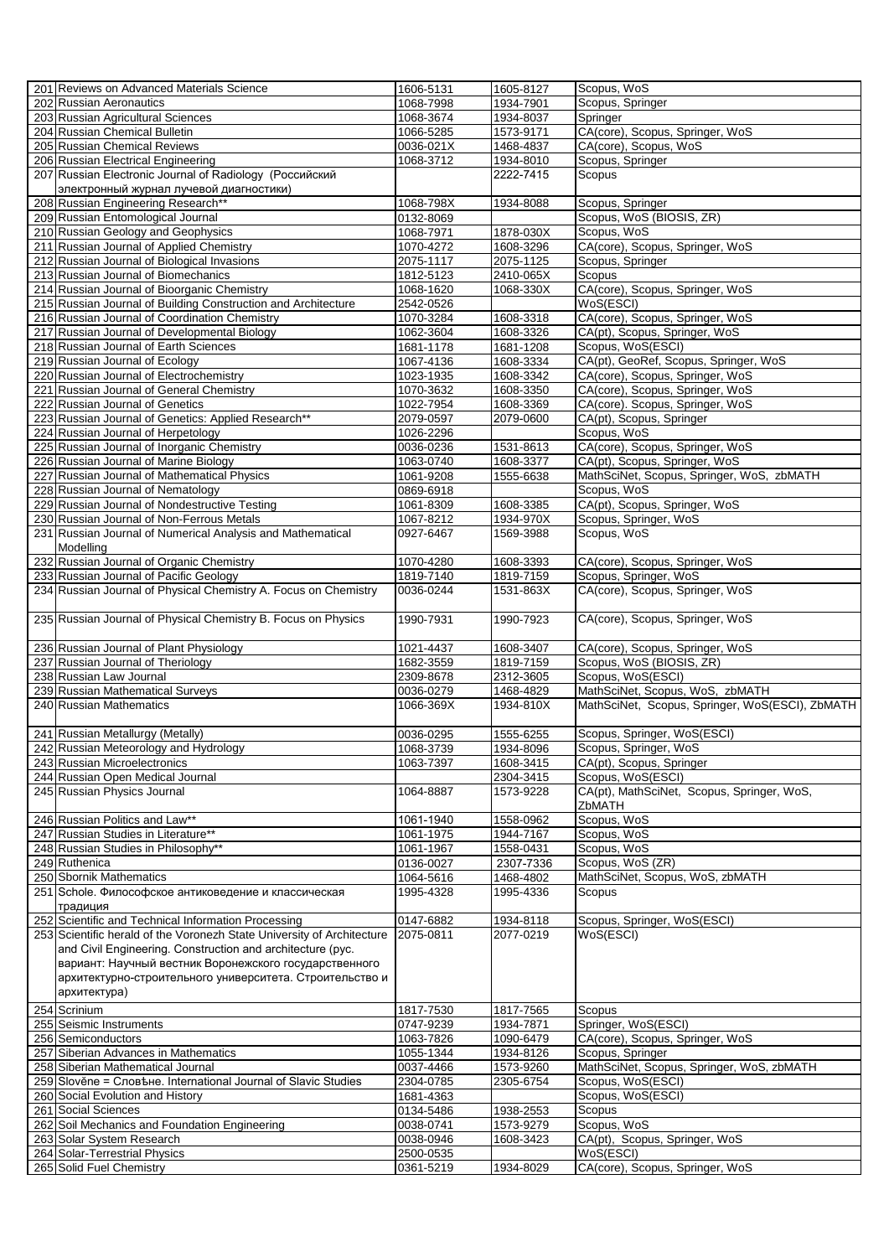| 201 Reviews on Advanced Materials Science                              | 1606-5131              | 1605-8127 | Scopus, WoS                                     |
|------------------------------------------------------------------------|------------------------|-----------|-------------------------------------------------|
| 202 Russian Aeronautics                                                | 1068-7998              | 1934-7901 | Scopus, Springer                                |
| 203 Russian Agricultural Sciences                                      | 1068-3674              | 1934-8037 | Springer                                        |
| 204 Russian Chemical Bulletin                                          | 1066-5285              | 1573-9171 | CA(core), Scopus, Springer, WoS                 |
| 205 Russian Chemical Reviews                                           | 0036-021X              | 1468-4837 | CA(core), Scopus, WoS                           |
| 206 Russian Electrical Engineering                                     | 1068-3712              | 1934-8010 | Scopus, Springer                                |
| 207 Russian Electronic Journal of Radiology (Российский                |                        | 2222-7415 | Scopus                                          |
|                                                                        |                        |           |                                                 |
| электронный журнал лучевой диагностики)                                |                        |           |                                                 |
| 208 Russian Engineering Research**                                     | 1068-798X              | 1934-8088 | Scopus, Springer                                |
| 209 Russian Entomological Journal                                      | 0132-8069              |           | Scopus, WoS (BIOSIS, ZR)                        |
| 210 Russian Geology and Geophysics                                     | 1068-7971              | 1878-030X | Scopus, WoS                                     |
| 211 Russian Journal of Applied Chemistry                               | 1070-4272              | 1608-3296 | CA(core), Scopus, Springer, WoS                 |
| 212 Russian Journal of Biological Invasions                            | 2075-1117              | 2075-1125 | Scopus, Springer                                |
| 213 Russian Journal of Biomechanics                                    | 1812-5123              | 2410-065X | Scopus                                          |
| 214 Russian Journal of Bioorganic Chemistry                            | 1068-1620              | 1068-330X | CA(core), Scopus, Springer, WoS                 |
| 215 Russian Journal of Building Construction and Architecture          | 2542-0526              |           | WoS(ESCI)                                       |
| 216 Russian Journal of Coordination Chemistry                          | 1070-3284              | 1608-3318 | CA(core), Scopus, Springer, WoS                 |
| 217 Russian Journal of Developmental Biology                           | 1062-3604              | 1608-3326 | CA(pt), Scopus, Springer, WoS                   |
| 218 Russian Journal of Earth Sciences                                  | 1681-1178              | 1681-1208 | Scopus, WoS(ESCI)                               |
| 219 Russian Journal of Ecology                                         | 1067-4136              | 1608-3334 | CA(pt), GeoRef, Scopus, Springer, WoS           |
| 220 Russian Journal of Electrochemistry                                | 1023-1935              | 1608-3342 | CA(core), Scopus, Springer, WoS                 |
| 221 Russian Journal of General Chemistry                               | 1070-3632              | 1608-3350 | CA(core), Scopus, Springer, WoS                 |
| 222 Russian Journal of Genetics                                        | 1022-7954              | 1608-3369 | CA(core). Scopus, Springer, WoS                 |
| 223 Russian Journal of Genetics: Applied Research**                    | 2079-0597              | 2079-0600 | CA(pt), Scopus, Springer                        |
| 224 Russian Journal of Herpetology                                     |                        |           | Scopus, WoS                                     |
|                                                                        | 1026-2296              |           |                                                 |
| 225 Russian Journal of Inorganic Chemistry                             | 0036-0236              | 1531-8613 | CA(core), Scopus, Springer, WoS                 |
| 226 Russian Journal of Marine Biology                                  | 1063-0740              | 1608-3377 | CA(pt), Scopus, Springer, WoS                   |
| 227 Russian Journal of Mathematical Physics                            | 1061-9208              | 1555-6638 | MathSciNet, Scopus, Springer, WoS, zbMATH       |
| 228 Russian Journal of Nematology                                      | 0869-6918              |           | Scopus, WoS                                     |
| 229 Russian Journal of Nondestructive Testing                          | 1061-8309              | 1608-3385 | CA(pt), Scopus, Springer, WoS                   |
| 230 Russian Journal of Non-Ferrous Metals                              | 1067-8212              | 1934-970X | Scopus, Springer, WoS                           |
| 231 Russian Journal of Numerical Analysis and Mathematical             | 0927-6467              | 1569-3988 | Scopus, WoS                                     |
| Modelling                                                              |                        |           |                                                 |
| 232 Russian Journal of Organic Chemistry                               | 1070-4280              | 1608-3393 | CA(core), Scopus, Springer, WoS                 |
| 233 Russian Journal of Pacific Geology                                 | 1819-7140              | 1819-7159 | Scopus, Springer, WoS                           |
| 234 Russian Journal of Physical Chemistry A. Focus on Chemistry        | 0036-0244              | 1531-863X | CA(core), Scopus, Springer, WoS                 |
|                                                                        |                        |           |                                                 |
| 235 Russian Journal of Physical Chemistry B. Focus on Physics          | 1990-7931              | 1990-7923 | CA(core), Scopus, Springer, WoS                 |
|                                                                        |                        |           |                                                 |
| 236 Russian Journal of Plant Physiology                                | 1021-4437              | 1608-3407 | CA(core), Scopus, Springer, WoS                 |
| 237 Russian Journal of Theriology                                      | 1682-3559              | 1819-7159 | Scopus, WoS (BIOSIS, ZR)                        |
| 238 Russian Law Journal                                                | 2309-8678              | 2312-3605 | Scopus, WoS(ESCI)                               |
| 239 Russian Mathematical Surveys                                       | 0036-0279              | 1468-4829 | MathSciNet, Scopus, WoS, zbMATH                 |
| 240 Russian Mathematics                                                | 1066-369X              | 1934-810X | MathSciNet, Scopus, Springer, WoS(ESCI), ZbMATH |
|                                                                        |                        |           |                                                 |
| 241 Russian Metallurgy (Metally)                                       |                        |           | Scopus, Springer, WoS(ESCI)                     |
|                                                                        |                        |           |                                                 |
|                                                                        | 0036-0295              | 1555-6255 |                                                 |
| 242 Russian Meteorology and Hydrology                                  | 1068-3739              | 1934-8096 | Scopus, Springer, WoS                           |
| 243 Russian Microelectronics                                           | 1063-7397              | 1608-3415 | CA(pt), Scopus, Springer                        |
| 244 Russian Open Medical Journal                                       |                        | 2304-3415 | Scopus, WoS(ESCI)                               |
| 245 Russian Physics Journal                                            | 1064-8887              | 1573-9228 | CA(pt), MathSciNet, Scopus, Springer, WoS,      |
|                                                                        |                        |           | ZbMATH                                          |
| 246 Russian Politics and Law**                                         | 1061-1940              | 1558-0962 | Scopus, WoS                                     |
| 247 Russian Studies in Literature**                                    | 1061-1975              | 1944-7167 | Scopus, WoS                                     |
| 248 Russian Studies in Philosophy**                                    | 1061-1967              | 1558-0431 | Scopus, WoS                                     |
| 249 Ruthenica                                                          | 0136-0027              | 2307-7336 | Scopus, WoS (ZR)                                |
| 250 Sbornik Mathematics                                                | 1064-5616              | 1468-4802 | MathSciNet, Scopus, WoS, zbMATH                 |
| 251 Schole. Философское антиковедение и классическая                   | 1995-4328              | 1995-4336 | Scopus                                          |
| традиция                                                               |                        |           |                                                 |
| 252 Scientific and Technical Information Processing                    | 0147-6882              | 1934-8118 | Scopus, Springer, WoS(ESCI)                     |
|                                                                        | 2075-0811              | 2077-0219 | WoS(ESCI)                                       |
| 253 Scientific herald of the Voronezh State University of Architecture |                        |           |                                                 |
| and Civil Engineering. Construction and architecture (pyc.             |                        |           |                                                 |
| вариант: Научный вестник Воронежского государственного                 |                        |           |                                                 |
| архитектурно-строительного университета. Строительство и               |                        |           |                                                 |
| архитектура)                                                           |                        |           |                                                 |
| 254 Scrinium                                                           | 1817-7530              | 1817-7565 | Scopus                                          |
| 255 Seismic Instruments                                                | 0747-9239              | 1934-7871 | Springer, WoS(ESCI)                             |
| 256 Semiconductors                                                     | 1063-7826              | 1090-6479 | CA(core), Scopus, Springer, WoS                 |
| 257 Siberian Advances in Mathematics                                   | 1055-1344              | 1934-8126 | Scopus, Springer                                |
| 258 Siberian Mathematical Journal                                      | 0037-4466              | 1573-9260 | MathSciNet, Scopus, Springer, WoS, zbMATH       |
| 259 Slověne = Словъне. International Journal of Slavic Studies         | 2304-0785              | 2305-6754 | Scopus, WoS(ESCI)                               |
| 260 Social Evolution and History                                       | 1681-4363              |           | Scopus, WoS(ESCI)                               |
| 261 Social Sciences                                                    | 0134-5486              | 1938-2553 | Scopus                                          |
|                                                                        | 0038-0741              | 1573-9279 | Scopus, WoS                                     |
| 262 Soil Mechanics and Foundation Engineering                          |                        | 1608-3423 |                                                 |
| 263 Solar System Research                                              | 0038-0946              |           | CA(pt), Scopus, Springer, WoS                   |
| 264 Solar-Terrestrial Physics<br>265 Solid Fuel Chemistry              | 2500-0535<br>0361-5219 | 1934-8029 | WoS(ESCI)<br>CA(core), Scopus, Springer, WoS    |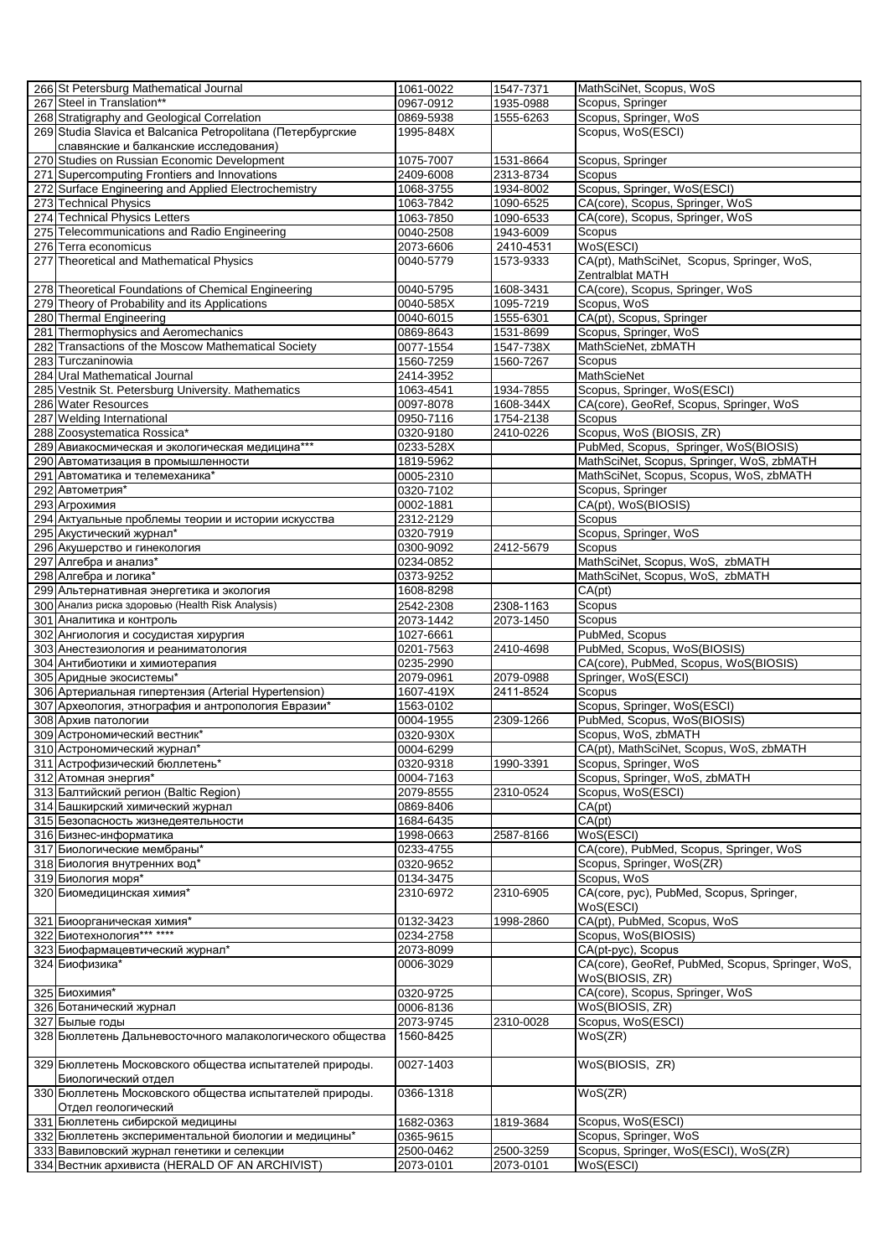| 266 St Petersburg Mathematical Journal                                                       | 1061-0022              | 1547-7371              | MathSciNet, Scopus, WoS                           |
|----------------------------------------------------------------------------------------------|------------------------|------------------------|---------------------------------------------------|
| 267 Steel in Translation**                                                                   | 0967-0912              | 1935-0988              | Scopus, Springer                                  |
| 268 Stratigraphy and Geological Correlation                                                  | 0869-5938              | 1555-6263              | Scopus, Springer, WoS                             |
| 269 Studia Slavica et Balcanica Petropolitana (Петербургские                                 | 1995-848X              |                        | Scopus, WoS(ESCI)                                 |
| славянские и балканские исследования)                                                        |                        |                        |                                                   |
| 270 Studies on Russian Economic Development                                                  | 1075-7007              | 1531-8664              | Scopus, Springer                                  |
| 271 Supercomputing Frontiers and Innovations                                                 | 2409-6008              | 2313-8734              | Scopus                                            |
| 272 Surface Engineering and Applied Electrochemistry                                         | 1068-3755              | 1934-8002              | Scopus, Springer, WoS(ESCI)                       |
| 273 Technical Physics                                                                        | 1063-7842              | 1090-6525              | CA(core), Scopus, Springer, WoS                   |
| 274 Technical Physics Letters                                                                | 1063-7850              | 1090-6533              | CA(core), Scopus, Springer, WoS                   |
| 275 Telecommunications and Radio Engineering                                                 | 0040-2508              | 1943-6009              | Scopus                                            |
| 276 Terra economicus                                                                         | 2073-6606              | 2410-4531              | WoS(ESCI)                                         |
| 277 Theoretical and Mathematical Physics                                                     | 0040-5779              | 1573-9333              | CA(pt), MathSciNet, Scopus, Springer, WoS,        |
|                                                                                              |                        |                        | Zentralblat MATH                                  |
| 278 Theoretical Foundations of Chemical Engineering                                          | 0040-5795              | 1608-3431              | CA(core), Scopus, Springer, WoS                   |
| 279 Theory of Probability and its Applications                                               | 0040-585X              | 1095-7219              | Scopus, WoS                                       |
| 280 Thermal Engineering                                                                      | 0040-6015              | 1555-6301              | CA(pt), Scopus, Springer                          |
| 281 Thermophysics and Aeromechanics                                                          | 0869-8643              | 1531-8699              | Scopus, Springer, WoS                             |
| 282 Transactions of the Moscow Mathematical Society                                          | 0077-1554              | 1547-738X              | MathScieNet, zbMATH                               |
| 283 Turczaninowia                                                                            | 1560-7259              | 1560-7267              | Scopus                                            |
| 284 Ural Mathematical Journal                                                                | 2414-3952              |                        | MathScieNet                                       |
| 285 Vestnik St. Petersburg University. Mathematics                                           | 1063-4541              | 1934-7855              | Scopus, Springer, WoS(ESCI)                       |
| 286 Water Resources                                                                          | 0097-8078              | 1608-344X              | CA(core), GeoRef, Scopus, Springer, WoS           |
| 287 Welding International                                                                    | 0950-7116              | 1754-2138              | Scopus                                            |
| 288 Zoosystematica Rossica*                                                                  | 0320-9180              | 2410-0226              | Scopus, WoS (BIOSIS, ZR)                          |
| 289 Авиакосмическая и экологическая медицина***                                              | 0233-528X              |                        | PubMed, Scopus, Springer, WoS(BIOSIS)             |
| 290 Автоматизация в промышленности                                                           | 1819-5962              |                        | MathSciNet, Scopus, Springer, WoS, zbMATH         |
| 291 Автоматика и телемеханика*                                                               | 0005-2310              |                        | MathSciNet, Scopus, Scopus, WoS, zbMATH           |
| 292 Автометрия*                                                                              | 0320-7102              |                        | Scopus, Springer                                  |
| 293 Агрохимия                                                                                | 0002-1881              |                        | CA(pt), WoS(BIOSIS)                               |
| 294 Актуальные проблемы теории и истории искусства                                           | 2312-2129              |                        | Scopus                                            |
| 295 Акустический журнал*                                                                     | 0320-7919              |                        | Scopus, Springer, WoS                             |
| 296 Акушерство и гинекология                                                                 | 0300-9092              | 2412-5679              | Scopus                                            |
| 297 Алгебра и анализ*                                                                        | 0234-0852              |                        | MathSciNet, Scopus, WoS, zbMATH                   |
| 298 Алгебра и логика*                                                                        | 0373-9252              |                        | MathSciNet, Scopus, WoS, zbMATH                   |
| 299 Альтернативная энергетика и экология                                                     | 1608-8298              |                        | CA(pt)                                            |
| 300 Анализ риска здоровью (Health Risk Analysis)                                             | 2542-2308              | 2308-1163              | Scopus                                            |
| 301 Аналитика и контроль                                                                     | 2073-1442              | 2073-1450              | Scopus                                            |
| 302 Ангиология и сосудистая хирургия                                                         | 1027-6661              |                        | PubMed, Scopus                                    |
|                                                                                              |                        |                        |                                                   |
| 303 Анестезиология и реаниматология                                                          | 0201-7563              | 2410-4698              | PubMed, Scopus, WoS(BIOSIS)                       |
| 304 Антибиотики и химиотерапия                                                               | 0235-2990              |                        | CA(core), PubMed, Scopus, WoS(BIOSIS)             |
| 305 Аридные экосистемы*                                                                      | 2079-0961              | 2079-0988              | Springer, WoS(ESCI)                               |
| 306 Артериальная гипертензия (Arterial Hypertension)                                         | 1607-419X              | 2411-8524              | Scopus                                            |
| 307 Археология, этнография и антропология Евразии*                                           | 1563-0102              |                        | Scopus, Springer, WoS(ESCI)                       |
| 308 Архив патологии                                                                          | 0004-1955              | 2309-1266              | PubMed, Scopus, WoS(BIOSIS)                       |
| 309 Астрономический вестник*                                                                 | 0320-930X              |                        | Scopus, WoS, zbMATH                               |
| 310 Астрономический журнал*                                                                  | 0004-6299              |                        | CA(pt), MathSciNet, Scopus, WoS, zbMATH           |
| 311 Астрофизический бюллетень*                                                               | 0320-9318              | 1990-3391              | Scopus, Springer, WoS                             |
| 312 Атомная энергия*                                                                         | 0004-7163              |                        | Scopus, Springer, WoS, zbMATH                     |
| 313 Балтийский регион (Baltic Region)                                                        | 2079-8555              | 2310-0524              | Scopus, WoS(ESCI)                                 |
| 314 Башкирский химический журнал                                                             | 0869-8406              |                        | CA(pt)                                            |
| 315 Безопасность жизнедеятельности                                                           | 1684-6435              |                        | CA(pt)                                            |
| 316 Бизнес-информатика                                                                       | 1998-0663              | 2587-8166              | WoS(ESCI)                                         |
| 317 Биологические мембраны*                                                                  | 0233-4755              |                        | CA(core), PubMed, Scopus, Springer, WoS           |
| 318 Биология внутренних вод*                                                                 | 0320-9652              |                        | Scopus, Springer, WoS(ZR)                         |
| 319 Биология моря*                                                                           | 0134-3475              |                        | Scopus, WoS                                       |
| 320 Биомедицинская химия*                                                                    | 2310-6972              | 2310-6905              | CA(core, pyc), PubMed, Scopus, Springer,          |
|                                                                                              |                        |                        | WoS(ESCI)                                         |
| 321 Биоорганическая химия*                                                                   | 0132-3423              | 1998-2860              | CA(pt), PubMed, Scopus, WoS                       |
| 322 Биотехнология*** ****                                                                    | 0234-2758              |                        | Scopus, WoS(BIOSIS)                               |
| 323 Биофармацевтический журнал*                                                              | 2073-8099              |                        | CA(pt-pyc), Scopus                                |
| 324 Биофизика*                                                                               | 0006-3029              |                        | CA(core), GeoRef, PubMed, Scopus, Springer, WoS,  |
|                                                                                              |                        |                        | WoS(BIOSIS, ZR)                                   |
| 325 Биохимия*                                                                                | 0320-9725              |                        | CA(core), Scopus, Springer, WoS                   |
| 326 Ботанический журнал                                                                      | 0006-8136              |                        | WoS(BIOSIS, ZR)                                   |
| 327 Былые годы                                                                               | 2073-9745              | 2310-0028              | Scopus, WoS(ESCI)                                 |
| 328 Бюллетень Дальневосточного малакологического общества                                    | 1560-8425              |                        | WoS(ZR)                                           |
|                                                                                              |                        |                        |                                                   |
| 329 Бюллетень Московского общества испытателей природы.                                      | 0027-1403              |                        | WoS(BIOSIS, ZR)                                   |
| Биологический отдел                                                                          |                        |                        |                                                   |
| 330 Бюллетень Московского общества испытателей природы.                                      | 0366-1318              |                        | WoS(ZR)                                           |
| Отдел геологический                                                                          |                        |                        |                                                   |
| 331 Бюллетень сибирской медицины                                                             | 1682-0363              | 1819-3684              | Scopus, WoS(ESCI)                                 |
| 332 Бюллетень экспериментальной биологии и медицины*                                         | 0365-9615              |                        | Scopus, Springer, WoS                             |
| 333 Вавиловский журнал генетики и селекции<br>334 Вестник архивиста (HERALD OF AN ARCHIVIST) | 2500-0462<br>2073-0101 | 2500-3259<br>2073-0101 | Scopus, Springer, WoS(ESCI), WoS(ZR)<br>WoS(ESCI) |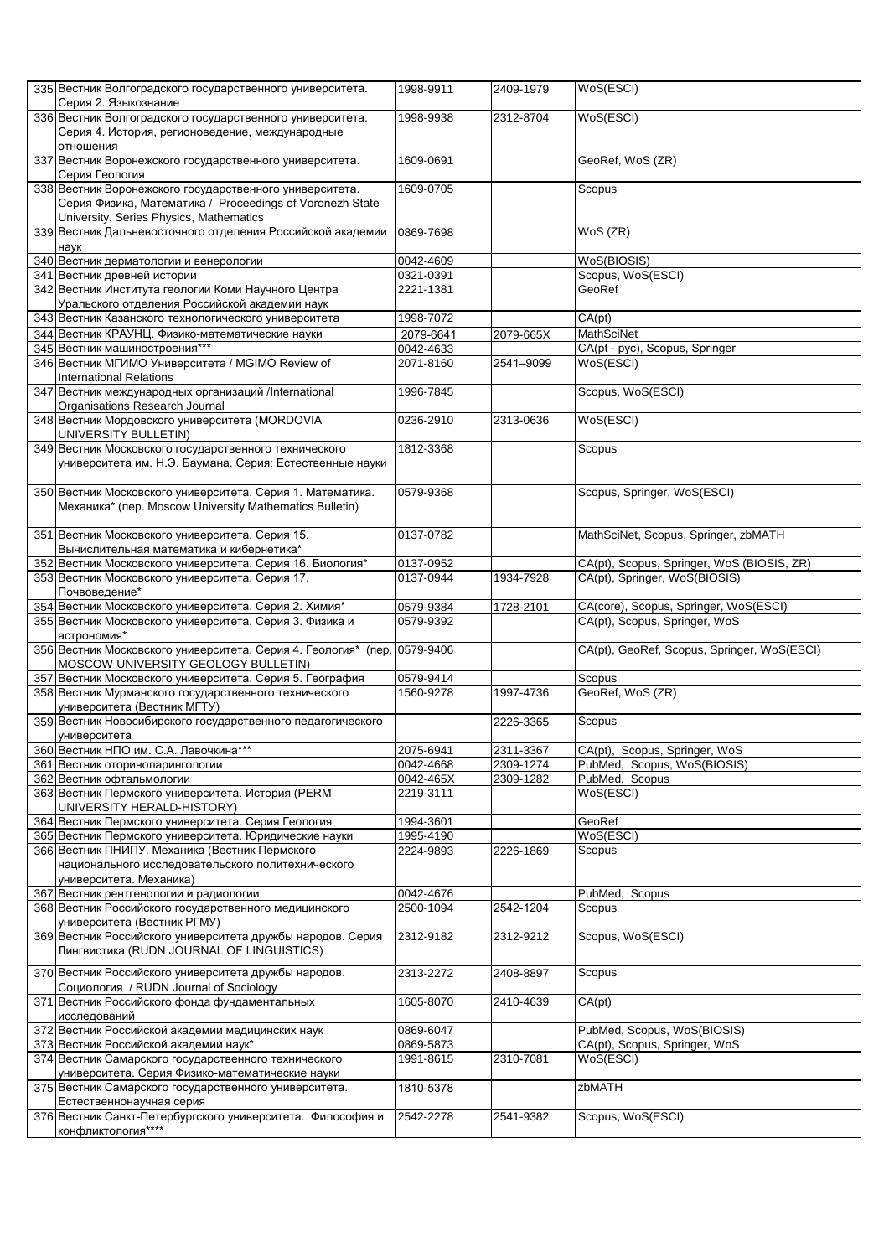| 335 Вестник Волгоградского государственного университета.<br>Серия 2. Языкознание                                 | 1998-9911              | 2409-1979 | WoS(ESCI)                                   |
|-------------------------------------------------------------------------------------------------------------------|------------------------|-----------|---------------------------------------------|
| 336 Вестник Волгоградского государственного университета.                                                         | 1998-9938              | 2312-8704 | WoS(ESCI)                                   |
| Серия 4. История, регионоведение, международные                                                                   |                        |           |                                             |
| отношения                                                                                                         |                        |           |                                             |
| 337 Вестник Воронежского государственного университета.                                                           | 1609-0691              |           | GeoRef, WoS (ZR)                            |
| Серия Геология                                                                                                    |                        |           |                                             |
| 338 Вестник Воронежского государственного университета.                                                           | 1609-0705              |           | Scopus                                      |
| Серия Физика, Математика / Proceedings of Voronezh State                                                          |                        |           |                                             |
| University. Series Physics, Mathematics<br>339 Вестник Дальневосточного отделения Российской академии             | 0869-7698              |           | WoS (ZR)                                    |
| наук                                                                                                              |                        |           |                                             |
| 340 Вестник дерматологии и венерологии                                                                            | 0042-4609              |           | WoS(BIOSIS)                                 |
| 341 Вестник древней истории                                                                                       | 0321-0391              |           | Scopus, WoS(ESCI)                           |
| 342 Вестник Института геологии Коми Научного Центра                                                               | 2221-1381              |           | GeoRef                                      |
| Уральского отделения Российской академии наук                                                                     |                        |           |                                             |
| 343 Вестник Казанского технологического университета                                                              | 1998-7072              |           | CA(pt)                                      |
| 344 Вестник КРАУНЦ. Физико-математические науки                                                                   | 2079-6641              | 2079-665X | <b>MathSciNet</b>                           |
| 345 Вестник машиностроения***                                                                                     | 0042-4633              |           | CA(pt - pyc), Scopus, Springer              |
| 346 Вестник МГИМО Университета / MGIMO Review of                                                                  | 2071-8160              | 2541-9099 | WoS(ESCI)                                   |
| <b>International Relations</b><br>347 Вестник международных организаций /International                            | 1996-7845              |           | Scopus, WoS(ESCI)                           |
| Organisations Research Journal                                                                                    |                        |           |                                             |
| 348 Вестник Мордовского университета (MORDOVIA                                                                    | 0236-2910              | 2313-0636 | WoS(ESCI)                                   |
| UNIVERSITY BULLETIN)                                                                                              |                        |           |                                             |
| 349 Вестник Московского государственного технического                                                             | 1812-3368              |           | Scopus                                      |
| университета им. Н.Э. Баумана. Серия: Естественные науки                                                          |                        |           |                                             |
|                                                                                                                   |                        |           |                                             |
| 350 Вестник Московского университета. Серия 1. Математика.                                                        | 0579-9368              |           | Scopus, Springer, WoS(ESCI)                 |
| Механика* (пер. Moscow University Mathematics Bulletin)                                                           |                        |           |                                             |
|                                                                                                                   |                        |           |                                             |
| 351 Вестник Московского университета. Серия 15.                                                                   | 0137-0782              |           | MathSciNet, Scopus, Springer, zbMATH        |
| Вычислительная математика и кибернетика*<br>352 Вестник Московского университета. Серия 16. Биология*             | 0137-0952              |           | CA(pt), Scopus, Springer, WoS (BIOSIS, ZR)  |
| 353 Вестник Московского университета. Серия 17.                                                                   | 0137-0944              | 1934-7928 | CA(pt), Springer, WoS(BIOSIS)               |
| Почвоведение*                                                                                                     |                        |           |                                             |
| 354 Вестник Московского университета. Серия 2. Химия*                                                             | 0579-9384              | 1728-2101 | CA(core), Scopus, Springer, WoS(ESCI)       |
| 355 Вестник Московского университета. Серия 3. Физика и                                                           | 0579-9392              |           | CA(pt), Scopus, Springer, WoS               |
| астрономия*                                                                                                       |                        |           |                                             |
| 356 Вестник Московского университета. Серия 4. Геология* (пер. 0579-9406                                          |                        |           | CA(pt), GeoRef, Scopus, Springer, WoS(ESCI) |
| MOSCOW UNIVERSITY GEOLOGY BULLETIN)                                                                               |                        |           |                                             |
| 357 Вестник Московского университета. Серия 5. География<br>358 Вестник Мурманского государственного технического | 0579-9414<br>1560-9278 | 1997-4736 | Scopus<br>GeoRef, WoS (ZR)                  |
| университета (Вестник МГТУ)                                                                                       |                        |           |                                             |
| 359 Вестник Новосибирского государственного педагогического                                                       |                        | 2226-3365 | Scopus                                      |
| университета                                                                                                      |                        |           |                                             |
| 360 Вестник НПО им. С.А. Лавочкина***                                                                             | 2075-6941              | 2311-3367 | CA(pt), Scopus, Springer, WoS               |
| 361 Вестник оториноларингологии                                                                                   | 0042-4668              | 2309-1274 | PubMed, Scopus, WoS(BIOSIS)                 |
| 362 Вестник офтальмологии                                                                                         | 0042-465X              | 2309-1282 | PubMed, Scopus                              |
| 363 Вестник Пермского университета. История (PERM                                                                 | 2219-3111              |           | WoS(ESCI)                                   |
| UNIVERSITY HERALD-HISTORY)                                                                                        |                        |           |                                             |
| 364 Вестник Пермского университета. Серия Геология<br>365 Вестник Пермского университета. Юридические науки       | 1994-3601<br>1995-4190 |           | GeoRef<br>WoS(ESCI)                         |
| 366 Вестник ПНИПУ. Механика (Вестник Пермского                                                                    | 2224-9893              | 2226-1869 | Scopus                                      |
| национального исследовательского политехнического                                                                 |                        |           |                                             |
| университета. Механика)                                                                                           |                        |           |                                             |
| 367 Вестник рентгенологии и радиологии                                                                            | 0042-4676              |           | PubMed, Scopus                              |
| 368 Вестник Российского государственного медицинского                                                             | 2500-1094              | 2542-1204 | Scopus                                      |
| университета (Вестник РГМУ)                                                                                       |                        |           |                                             |
| 369 Вестник Российского университета дружбы народов. Серия                                                        | 2312-9182              | 2312-9212 | Scopus, WoS(ESCI)                           |
| Лингвистика (RUDN JOURNAL OF LINGUISTICS)                                                                         |                        |           |                                             |
| 370 Вестник Российского университета дружбы народов.                                                              | 2313-2272              | 2408-8897 | Scopus                                      |
| Социология / RUDN Journal of Sociology                                                                            |                        |           |                                             |
| 371 Вестник Российского фонда фундаментальных                                                                     | 1605-8070              | 2410-4639 | CA(pt)                                      |
| исследований                                                                                                      |                        |           |                                             |
| 372 Вестник Российской академии медицинских наук                                                                  | 0869-6047              |           | PubMed, Scopus, WoS(BIOSIS)                 |
| 373 Вестник Российской академии наук*                                                                             | 0869-5873              |           | CA(pt), Scopus, Springer, WoS               |
| 374 Вестник Самарского государственного технического                                                              | 1991-8615              | 2310-7081 | WoS(ESCI)                                   |
| университета. Серия Физико-математические науки<br>375 Вестник Самарского государственного университета.          | 1810-5378              |           | zbMATH                                      |
| Естественнонаучная серия                                                                                          |                        |           |                                             |
| 376 Вестник Санкт-Петербургского университета. Философия и                                                        | 2542-2278              | 2541-9382 | Scopus, WoS(ESCI)                           |
| конфликтология****                                                                                                |                        |           |                                             |
|                                                                                                                   |                        |           |                                             |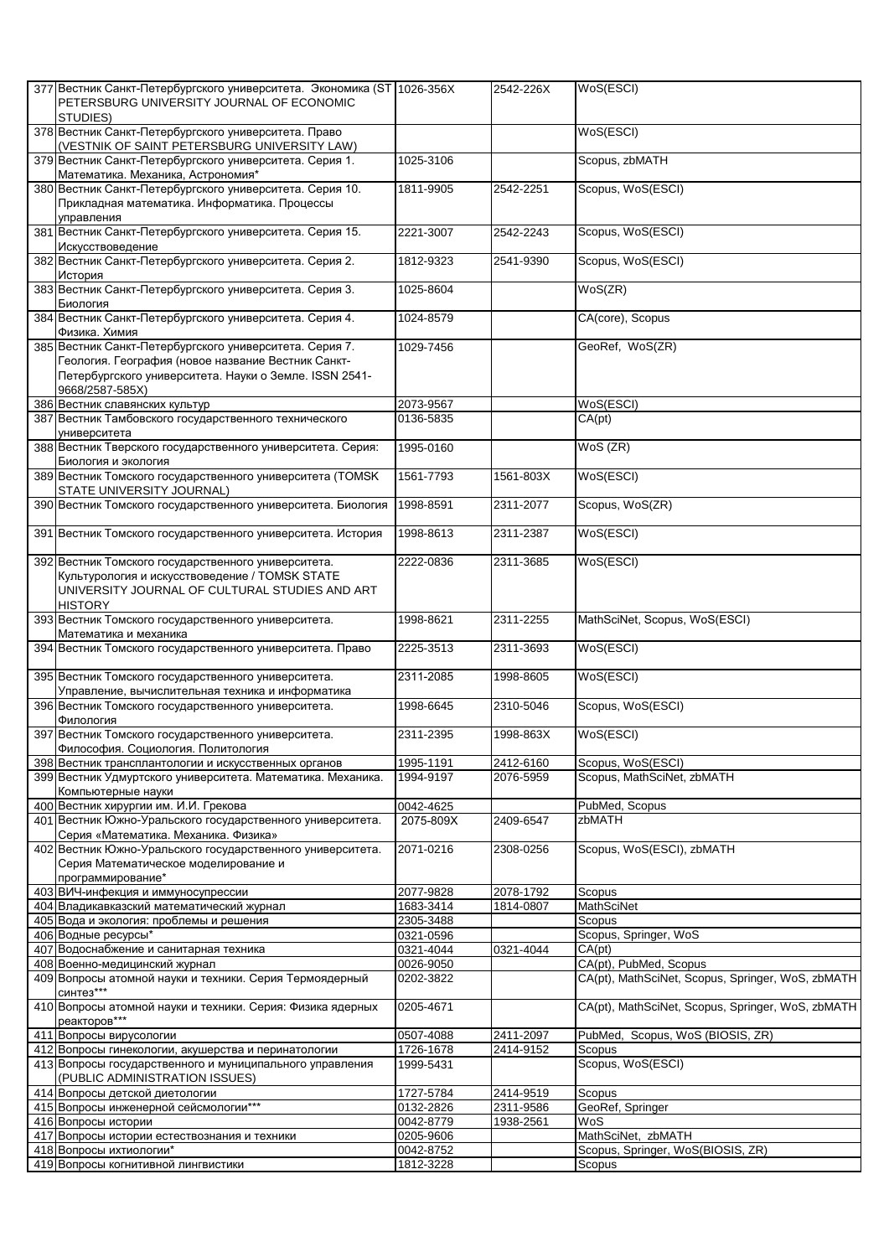|                                                                        |           | 2542-226X |                                                   |
|------------------------------------------------------------------------|-----------|-----------|---------------------------------------------------|
| 377 Вестник Санкт-Петербургского университета. Экономика (ST 1026-356X |           |           | WoS(ESCI)                                         |
| PETERSBURG UNIVERSITY JOURNAL OF ECONOMIC                              |           |           |                                                   |
| STUDIES)                                                               |           |           |                                                   |
| 378 Вестник Санкт-Петербургского университета. Право                   |           |           | WoS(ESCI)                                         |
| (VESTNIK OF SAINT PETERSBURG UNIVERSITY LAW)                           |           |           |                                                   |
| 379 Вестник Санкт-Петербургского университета. Серия 1.                | 1025-3106 |           | Scopus, zbMATH                                    |
| Математика. Механика, Астрономия*                                      |           |           |                                                   |
| 380 Вестник Санкт-Петербургского университета. Серия 10.               | 1811-9905 | 2542-2251 | Scopus, WoS(ESCI)                                 |
| Прикладная математика. Информатика. Процессы                           |           |           |                                                   |
| управления                                                             |           |           |                                                   |
| 381 Вестник Санкт-Петербургского университета. Серия 15.               | 2221-3007 | 2542-2243 | Scopus, WoS(ESCI)                                 |
|                                                                        |           |           |                                                   |
| Искусствоведение                                                       |           |           |                                                   |
| 382 Вестник Санкт-Петербургского университета. Серия 2.                | 1812-9323 | 2541-9390 | Scopus, WoS(ESCI)                                 |
| История                                                                |           |           |                                                   |
| 383 Вестник Санкт-Петербургского университета. Серия 3.                | 1025-8604 |           | WoS(ZR)                                           |
| Биология                                                               |           |           |                                                   |
| 384 Вестник Санкт-Петербургского университета. Серия 4.                | 1024-8579 |           | CA(core), Scopus                                  |
| Физика. Химия                                                          |           |           |                                                   |
| 385 Вестник Санкт-Петербургского университета. Серия 7.                | 1029-7456 |           | GeoRef, WoS(ZR)                                   |
| Геология. География (новое название Вестник Санкт-                     |           |           |                                                   |
|                                                                        |           |           |                                                   |
| Петербургского университета. Науки о Земле. ISSN 2541-                 |           |           |                                                   |
| 9668/2587-585X)                                                        |           |           |                                                   |
| 386 Вестник славянских культур                                         | 2073-9567 |           | WoS(ESCI)                                         |
| 387 Вестник Тамбовского государственного технического                  | 0136-5835 |           | CA(pt)                                            |
| университета                                                           |           |           |                                                   |
| 388 Вестник Тверского государственного университета. Серия:            | 1995-0160 |           | WoS (ZR)                                          |
| Биология и экология                                                    |           |           |                                                   |
| 389 Вестник Томского государственного университета (TOMSK              | 1561-7793 | 1561-803X | WoS(ESCI)                                         |
| STATE UNIVERSITY JOURNAL)                                              |           |           |                                                   |
|                                                                        |           |           |                                                   |
| 390 Вестник Томского государственного университета. Биология           | 1998-8591 | 2311-2077 | Scopus, WoS(ZR)                                   |
|                                                                        |           |           |                                                   |
| 391 Вестник Томского государственного университета. История            | 1998-8613 | 2311-2387 | WoS(ESCI)                                         |
|                                                                        |           |           |                                                   |
| 392 Вестник Томского государственного университета.                    | 2222-0836 | 2311-3685 | WoS(ESCI)                                         |
| Культурология и искусствоведение / TOMSK STATE                         |           |           |                                                   |
| UNIVERSITY JOURNAL OF CULTURAL STUDIES AND ART                         |           |           |                                                   |
| <b>HISTORY</b>                                                         |           |           |                                                   |
|                                                                        |           |           |                                                   |
| 393 Вестник Томского государственного университета.                    | 1998-8621 | 2311-2255 | MathSciNet, Scopus, WoS(ESCI)                     |
| Математика и механика                                                  |           |           |                                                   |
| 394 Вестник Томского государственного университета. Право              | 2225-3513 | 2311-3693 | WoS(ESCI)                                         |
|                                                                        |           |           |                                                   |
| 395 Вестник Томского государственного университета.                    | 2311-2085 | 1998-8605 | WoS(ESCI)                                         |
| Управление, вычислительная техника и информатика                       |           |           |                                                   |
| 396 Вестник Томского государственного университета.                    | 1998-6645 | 2310-5046 | Scopus, WoS(ESCI)                                 |
| Филология                                                              |           |           |                                                   |
| 397 Вестник Томского государственного университета.                    | 2311-2395 | 1998-863X | WoS(ESCI)                                         |
|                                                                        |           |           |                                                   |
| Философия. Социология. Политология                                     |           |           |                                                   |
| 398 Вестник трансплантологии и искусственных органов                   | 1995-1191 | 2412-6160 | Scopus, WoS(ESCI)                                 |
| 399 Вестник Удмуртского университета. Математика. Механика.            | 1994-9197 | 2076-5959 | Scopus, MathSciNet, zbMATH                        |
| Компьютерные науки                                                     |           |           |                                                   |
| 400 Вестник хирургии им. И.И. Грекова                                  | 0042-4625 |           | PubMed, Scopus                                    |
| 401 Вестник Южно-Уральского государственного университета.             | 2075-809X | 2409-6547 | zbMATH                                            |
| Серия «Математика. Механика. Физика»                                   |           |           |                                                   |
| 402 Вестник Южно-Уральского государственного университета.             | 2071-0216 | 2308-0256 | Scopus, WoS(ESCI), zbMATH                         |
| Серия Математическое моделирование и                                   |           |           |                                                   |
|                                                                        |           |           |                                                   |
| программирование*                                                      |           |           |                                                   |
| 403 ВИЧ-инфекция и иммуносупрессии                                     | 2077-9828 | 2078-1792 | Scopus                                            |
| 404 Владикавказский математический журнал                              | 1683-3414 | 1814-0807 | <b>MathSciNet</b>                                 |
| 405 Вода и экология: проблемы и решения                                | 2305-3488 |           | Scopus                                            |
| 406 Водные ресурсы*                                                    | 0321-0596 |           | Scopus, Springer, WoS                             |
| 407 Водоснабжение и санитарная техника                                 | 0321-4044 | 0321-4044 | CA(pt)                                            |
| 408 Военно-медицинский журнал                                          | 0026-9050 |           | CA(pt), PubMed, Scopus                            |
| 409 Вопросы атомной науки и техники. Серия Термоядерный                | 0202-3822 |           | CA(pt), MathSciNet, Scopus, Springer, WoS, zbMATH |
| синтез***                                                              |           |           |                                                   |
|                                                                        |           |           |                                                   |
| 410 Вопросы атомной науки и техники. Серия: Физика ядерных             | 0205-4671 |           | CA(pt), MathSciNet, Scopus, Springer, WoS, zbMATH |
| реакторов***                                                           |           |           |                                                   |
| 411 Вопросы вирусологии                                                | 0507-4088 | 2411-2097 | PubMed, Scopus, WoS (BIOSIS, ZR)                  |
| 412 Вопросы гинекологии, акушерства и перинатологии                    | 1726-1678 | 2414-9152 | Scopus                                            |
| 413 Вопросы государственного и муниципального управления               | 1999-5431 |           | Scopus, WoS(ESCI)                                 |
| (PUBLIC ADMINISTRATION ISSUES)                                         |           |           |                                                   |
| 414 Вопросы детской диетологии                                         | 1727-5784 | 2414-9519 | Scopus                                            |
| 415 Вопросы инженерной сейсмологии***                                  | 0132-2826 | 2311-9586 | GeoRef, Springer                                  |
| 416 Вопросы истории                                                    |           |           | WoS                                               |
|                                                                        | 0042-8779 | 1938-2561 |                                                   |
| 417 Вопросы истории естествознания и техники                           | 0205-9606 |           | MathSciNet, zbMATH                                |
| 418 Вопросы ихтиологии*                                                | 0042-8752 |           | Scopus, Springer, WoS(BIOSIS, ZR)                 |
| 419 Вопросы когнитивной лингвистики                                    | 1812-3228 |           | Scopus                                            |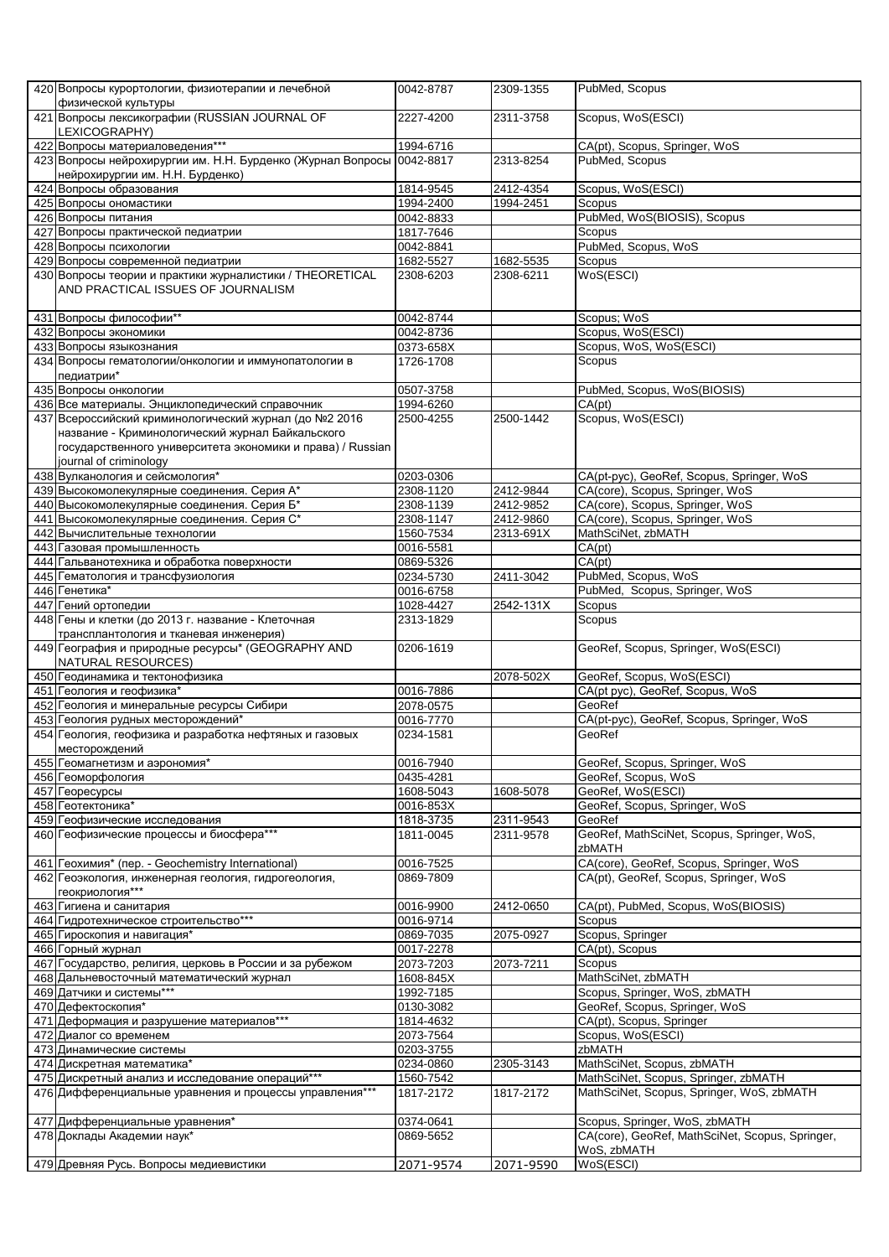|     | 420 Вопросы курортологии, физиотерапии и лечебной<br>физической культуры                                                                                                                           | 0042-8787     | 2309-1355            | PubMed, Scopus                                  |
|-----|----------------------------------------------------------------------------------------------------------------------------------------------------------------------------------------------------|---------------|----------------------|-------------------------------------------------|
|     | 421 Вопросы лексикографии (RUSSIAN JOURNAL OF<br>LEXICOGRAPHY)                                                                                                                                     | 2227-4200     | 2311-3758            | Scopus, WoS(ESCI)                               |
|     | 422 Вопросы материаловедения***                                                                                                                                                                    | 1994-6716     |                      | CA(pt), Scopus, Springer, WoS                   |
|     | 423 Вопросы нейрохирургии им. Н.Н. Бурденко (Журнал Вопросы 0042-8817<br>нейрохирургии им. Н.Н. Бурденко)                                                                                          |               | 2313-8254            | PubMed, Scopus                                  |
|     | 424 Вопросы образования                                                                                                                                                                            | 1814-9545     | 2412-4354            | Scopus, WoS(ESCI)                               |
|     | 425 Вопросы ономастики                                                                                                                                                                             | 1994-2400     | 1994-2451            | Scopus                                          |
|     | 426 Вопросы питания                                                                                                                                                                                | 0042-8833     |                      | PubMed, WoS(BIOSIS), Scopus                     |
|     | 427 Вопросы практической педиатрии                                                                                                                                                                 | 1817-7646     |                      | Scopus                                          |
|     | 428 Вопросы психологии                                                                                                                                                                             | $0042 - 8841$ |                      | PubMed, Scopus, WoS                             |
|     | 429 Вопросы современной педиатрии                                                                                                                                                                  | 1682-5527     | 1682-5535            | Scopus                                          |
|     | 430 Вопросы теории и практики журналистики / THEORETICAL                                                                                                                                           | 2308-6203     | 2308-6211            | WoS(ESCI)                                       |
|     | AND PRACTICAL ISSUES OF JOURNALISM                                                                                                                                                                 |               |                      |                                                 |
|     | 431 Вопросы философии**                                                                                                                                                                            | 0042-8744     |                      | Scopus; WoS                                     |
|     | 432 Вопросы экономики                                                                                                                                                                              | 0042-8736     |                      | Scopus, WoS(ESCI)                               |
|     | 433 Вопросы языкознания                                                                                                                                                                            | 0373-658X     |                      | Scopus, WoS, WoS(ESCI)                          |
|     | 434 Вопросы гематологии/онкологии и иммунопатологии в<br>педиатрии*                                                                                                                                | 1726-1708     |                      | Scopus                                          |
|     | 435 Вопросы онкологии                                                                                                                                                                              | 0507-3758     |                      | PubMed, Scopus, WoS(BIOSIS)                     |
|     | 436 Все материалы. Энциклопедический справочник                                                                                                                                                    | 1994-6260     |                      | CA(pt)                                          |
|     | 437 Всероссийский криминологический журнал (до №2 2016<br>название - Криминологический журнал Байкальского<br>государственного университета экономики и права) / Russian<br>journal of criminology | 2500-4255     | 2500-1442            | Scopus, WoS(ESCI)                               |
|     | 438 Вулканология и сейсмология*                                                                                                                                                                    | 0203-0306     |                      | CA(pt-pyc), GeoRef, Scopus, Springer, WoS       |
|     | 439 Высокомолекулярные соединения. Серия А*                                                                                                                                                        | 2308-1120     | 2412-9844            | CA(core), Scopus, Springer, WoS                 |
|     | 440 Высокомолекулярные соединения. Серия Б*                                                                                                                                                        | 2308-1139     | 2412-9852            | CA(core), Scopus, Springer, WoS                 |
|     | 441 Высокомолекулярные соединения. Серия С*                                                                                                                                                        | 2308-1147     | 2412-9860            | CA(core), Scopus, Springer, WoS                 |
|     | 442 Вычислительные технологии                                                                                                                                                                      | 1560-7534     | 2313-691X            | MathSciNet, zbMATH                              |
|     | 443 Газовая промышленность                                                                                                                                                                         | 0016-5581     |                      | CA(pt)                                          |
|     | 444 Гальванотехника и обработка поверхности                                                                                                                                                        | 0869-5326     |                      | CA(pt)                                          |
|     | 445 Гематология и трансфузиология                                                                                                                                                                  | 0234-5730     | $\sqrt{24}11 - 3042$ | PubMed, Scopus, WoS                             |
|     | 446 Генетика*                                                                                                                                                                                      | 0016-6758     |                      | PubMed, Scopus, Springer, WoS                   |
| 447 | Гений ортопедии                                                                                                                                                                                    | 1028-4427     | 2542-131X            | Scopus                                          |
|     | 448 Гены и клетки (до 2013 г. название - Клеточная                                                                                                                                                 | 2313-1829     |                      | Scopus                                          |
|     | трансплантология и тканевая инженерия)                                                                                                                                                             |               |                      |                                                 |
|     | 449 География и природные ресурсы* (GEOGRAPHY AND<br><b>NATURAL RESOURCES)</b>                                                                                                                     | 0206-1619     |                      | GeoRef, Scopus, Springer, WoS(ESCI)             |
|     | 450 Геодинамика и тектонофизика                                                                                                                                                                    |               | 2078-502X            | GeoRef, Scopus, WoS(ESCI)                       |
|     | 451 Геология и геофизика*                                                                                                                                                                          | 0016-7886     |                      | CA(pt pyc), GeoRef, Scopus, WoS                 |
|     | 452 Геология и минеральные ресурсы Сибири                                                                                                                                                          | 2078-0575     |                      | GeoRef                                          |
| 453 | Геология рудных месторождений*                                                                                                                                                                     | 0016-7770     |                      | CA(pt-pyc), GeoRef, Scopus, Springer, WoS       |
|     | 454 Геология, геофизика и разработка нефтяных и газовых                                                                                                                                            | 0234-1581     |                      | GeoRef                                          |
|     | месторождений                                                                                                                                                                                      | 0016-7940     |                      | GeoRef, Scopus, Springer, WoS                   |
|     | 455 Геомагнетизм и аэрономия*<br>456 Геоморфология                                                                                                                                                 | 0435-4281     |                      | GeoRef, Scopus, WoS                             |
|     | 457 Георесурсы                                                                                                                                                                                     | 1608-5043     | 1608-5078            | GeoRef, WoS(ESCI)                               |
|     | 458 Геотектоника*                                                                                                                                                                                  | 0016-853X     |                      | GeoRef, Scopus, Springer, WoS                   |
|     | 459 Геофизические исследования                                                                                                                                                                     | 1818-3735     | 2311-9543            | GeoRef                                          |
|     | 460 Геофизические процессы и биосфера***                                                                                                                                                           | 1811-0045     | 2311-9578            | GeoRef, MathSciNet, Scopus, Springer, WoS,      |
|     |                                                                                                                                                                                                    |               |                      | zbMATH                                          |
|     | 461 Геохимия* (пер. - Geochemistry International)                                                                                                                                                  | 0016-7525     |                      | CA(core), GeoRef, Scopus, Springer, WoS         |
|     | 462 Геоэкология, инженерная геология, гидрогеология,<br>геокриология***                                                                                                                            | 0869-7809     |                      | CA(pt), GeoRef, Scopus, Springer, WoS           |
|     | 463 Гигиена и санитария                                                                                                                                                                            | 0016-9900     | 2412-0650            | CA(pt), PubMed, Scopus, WoS(BIOSIS)             |
|     | 464 Гидротехническое строительство***                                                                                                                                                              | 0016-9714     |                      | Scopus                                          |
|     | 465 Гироскопия и навигация*                                                                                                                                                                        | 0869-7035     | 2075-0927            | Scopus, Springer                                |
|     | 466 Горный журнал                                                                                                                                                                                  | 0017-2278     |                      | CA(pt), Scopus                                  |
|     | 467 Государство, религия, церковь в России и за рубежом                                                                                                                                            | 2073-7203     | 2073-7211            | Scopus                                          |
|     | 468 Дальневосточный математический журнал                                                                                                                                                          | 1608-845X     |                      | MathSciNet, zbMATH                              |
|     | 469 Датчики и системы***                                                                                                                                                                           | 1992-7185     |                      | Scopus, Springer, WoS, zbMATH                   |
|     | 470 Дефектоскопия*                                                                                                                                                                                 | 0130-3082     |                      | GeoRef, Scopus, Springer, WoS                   |
|     | 471 Деформация и разрушение материалов***                                                                                                                                                          | 1814-4632     |                      | CA(pt), Scopus, Springer                        |
|     | 472 Диалог со временем                                                                                                                                                                             | 2073-7564     |                      | Scopus, WoS(ESCI)                               |
|     | 473 Динамические системы                                                                                                                                                                           | 0203-3755     |                      | zbMATH                                          |
|     | 474 Дискретная математика*                                                                                                                                                                         | 0234-0860     | 2305-3143            | MathSciNet, Scopus, zbMATH                      |
|     | 475 Дискретный анализ и исследование операций***                                                                                                                                                   | 1560-7542     |                      | MathSciNet, Scopus, Springer, zbMATH            |
|     | 476 Дифференциальные уравнения и процессы управления***                                                                                                                                            | 1817-2172     | 1817-2172            | MathSciNet, Scopus, Springer, WoS, zbMATH       |
|     | 477 Дифференциальные уравнения*                                                                                                                                                                    | 0374-0641     |                      | Scopus, Springer, WoS, zbMATH                   |
|     | 478 Доклады Академии наук*                                                                                                                                                                         | 0869-5652     |                      | CA(core), GeoRef, MathSciNet, Scopus, Springer, |
|     |                                                                                                                                                                                                    |               |                      | WoS, zbMATH                                     |
|     | 479 Древняя Русь. Вопросы медиевистики                                                                                                                                                             | 2071-9574     | 2071-9590            | WoS(ESCI)                                       |
|     |                                                                                                                                                                                                    |               |                      |                                                 |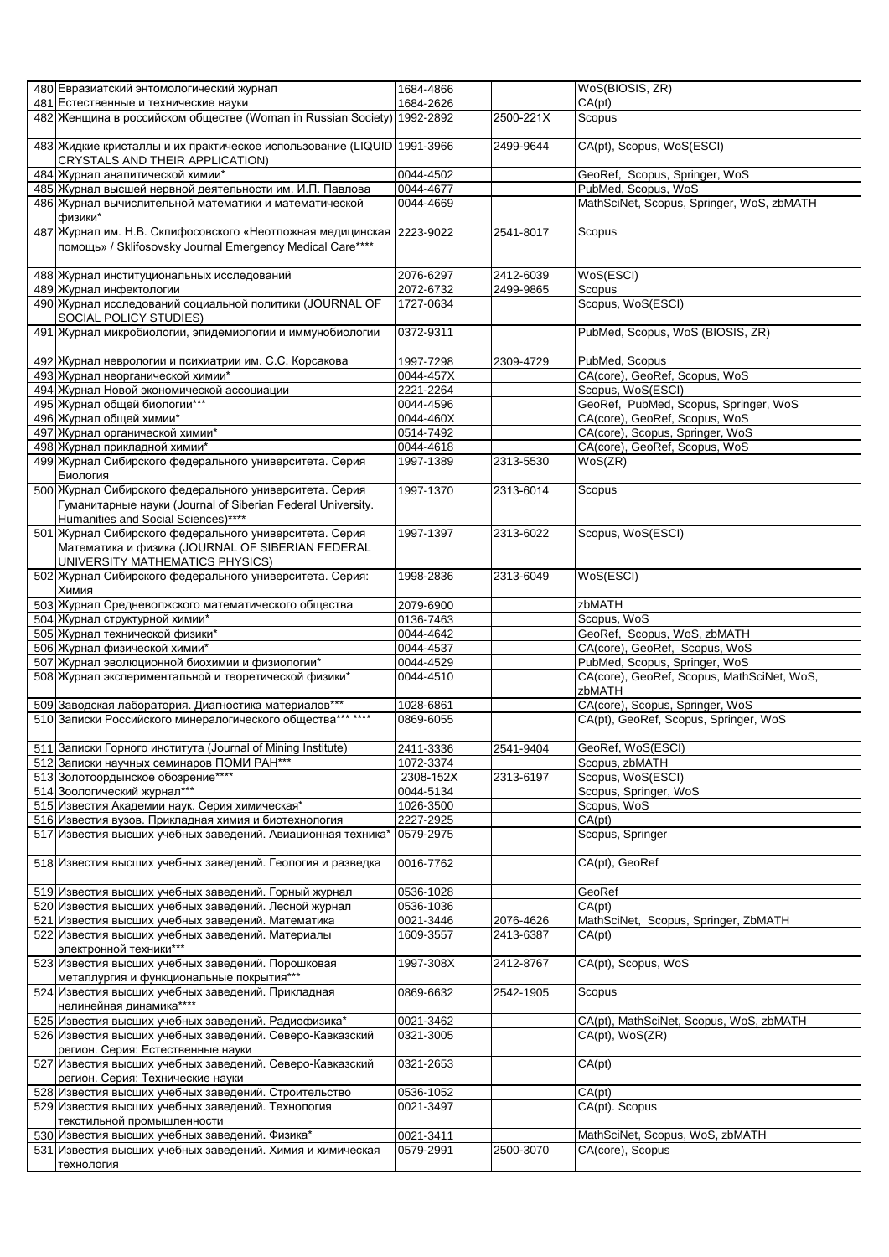|     | 480 Евразиатский энтомологический журнал                               | 1684-4866 |           | WoS(BIOSIS, ZR)                            |
|-----|------------------------------------------------------------------------|-----------|-----------|--------------------------------------------|
|     | 481 Естественные и технические науки                                   | 1684-2626 |           | CA(pt)                                     |
|     | 482 Женщина в российском обществе (Woman in Russian Society) 1992-2892 |           | 2500-221X | Scopus                                     |
|     |                                                                        |           |           |                                            |
|     |                                                                        |           |           | CA(pt), Scopus, WoS(ESCI)                  |
|     | 483 Жидкие кристаллы и их практическое использование (LIQUID 1991-3966 |           | 2499-9644 |                                            |
|     | CRYSTALS AND THEIR APPLICATION)                                        |           |           |                                            |
|     | 484 Журнал аналитической химии*                                        | 0044-4502 |           | GeoRef, Scopus, Springer, WoS              |
|     | 485 Журнал высшей нервной деятельности им. И.П. Павлова                | 0044-4677 |           | PubMed, Scopus, WoS                        |
|     | 486 Журнал вычислительной математики и математической                  | 0044-4669 |           | MathSciNet, Scopus, Springer, WoS, zbMATH  |
|     | физики*                                                                |           |           |                                            |
|     | 487 Журнал им. Н.В. Склифосовского «Неотложная медицинская 2223-9022   |           | 2541-8017 | Scopus                                     |
|     | помощь» / Sklifosovsky Journal Emergency Medical Care****              |           |           |                                            |
|     |                                                                        |           |           |                                            |
|     |                                                                        |           |           |                                            |
|     | 488 Журнал институциональных исследований                              | 2076-6297 | 2412-6039 | WoS(ESCI)                                  |
|     | 489 Журнал инфектологии                                                | 2072-6732 | 2499-9865 | Scopus                                     |
|     | 490 Журнал исследований социальной политики (JOURNAL OF                | 1727-0634 |           | Scopus, WoS(ESCI)                          |
|     | SOCIAL POLICY STUDIES)                                                 |           |           |                                            |
|     | 491 Журнал микробиологии, эпидемиологии и иммунобиологии               | 0372-9311 |           | PubMed, Scopus, WoS (BIOSIS, ZR)           |
|     |                                                                        |           |           |                                            |
|     | 492 Журнал неврологии и психиатрии им. С.С. Корсакова                  | 1997-7298 | 2309-4729 | PubMed, Scopus                             |
|     |                                                                        |           |           |                                            |
|     | 493 Журнал неорганической химии*                                       | 0044-457X |           | CA(core), GeoRef, Scopus, WoS              |
|     | 494 Журнал Новой экономической ассоциации                              | 2221-2264 |           | Scopus, WoS(ESCI)                          |
|     | 495 Журнал общей биологии***                                           | 0044-4596 |           | GeoRef, PubMed, Scopus, Springer, WoS      |
|     | 496 Журнал общей химии*                                                | 0044-460X |           | CA(core), GeoRef, Scopus, WoS              |
|     | 497 Журнал органической химии*                                         | 0514-7492 |           | CA(core), Scopus, Springer, WoS            |
|     | 498 Журнал прикладной химии*                                           | 0044-4618 |           | CA(core), GeoRef, Scopus, WoS              |
|     | 499 Журнал Сибирского федерального университета. Серия                 | 1997-1389 | 2313-5530 | WoS(ZR)                                    |
|     | Биология                                                               |           |           |                                            |
|     | 500 Журнал Сибирского федерального университета. Серия                 | 1997-1370 | 2313-6014 | Scopus                                     |
|     |                                                                        |           |           |                                            |
|     | Гуманитарные науки (Journal of Siberian Federal University.            |           |           |                                            |
|     | Humanities and Social Sciences)****                                    |           |           |                                            |
|     | 501 Журнал Сибирского федерального университета. Серия                 | 1997-1397 | 2313-6022 | Scopus, WoS(ESCI)                          |
|     | Математика и физика (JOURNAL OF SIBERIAN FEDERAL                       |           |           |                                            |
|     | UNIVERSITY MATHEMATICS PHYSICS)                                        |           |           |                                            |
|     | 502 Журнал Сибирского федерального университета. Серия:                | 1998-2836 | 2313-6049 | WoS(ESCI)                                  |
|     | Химия                                                                  |           |           |                                            |
|     |                                                                        | 2079-6900 |           | zbMATH                                     |
|     | 503 Журнал Средневолжского математического общества                    |           |           |                                            |
|     | 504 Журнал структурной химии*                                          | 0136-7463 |           | Scopus, WoS                                |
|     | 505 Журнал технической физики*                                         | 0044-4642 |           | GeoRef, Scopus, WoS, zbMATH                |
|     | 506 Журнал физической химии*                                           | 0044-4537 |           | CA(core), GeoRef, Scopus, WoS              |
|     | 507 Журнал эволюционной биохимии и физиологии*                         | 0044-4529 |           | PubMed, Scopus, Springer, WoS              |
|     | 508 Журнал экспериментальной и теоретической физики*                   | 0044-4510 |           | CA(core), GeoRef, Scopus, MathSciNet, WoS, |
|     |                                                                        |           |           | zbMATH                                     |
|     | 509 Заводская лаборатория. Диагностика материалов***                   | 1028-6861 |           | CA(core), Scopus, Springer, WoS            |
|     | 510 Записки Российского минералогического общества*** ****             | 0869-6055 |           | CA(pt), GeoRef, Scopus, Springer, WoS      |
|     |                                                                        |           |           |                                            |
|     |                                                                        |           |           |                                            |
|     | 511 Записки Горного института (Journal of Mining Institute)            | 2411-3336 | 2541-9404 | GeoRef, WoS(ESCI)                          |
|     | 512 Записки научных семинаров ПОМИ РАН***                              | 1072-3374 |           | Scopus, zbMATH                             |
|     | 513 Золотоордынское обозрение****                                      | 2308-152X | 2313-6197 | Scopus, WoS(ESCI)                          |
|     | 514 Зоологический журнал***                                            | 0044-5134 |           | Scopus, Springer, WoS                      |
|     | 515 Известия Академии наук. Серия химическая*                          | 1026-3500 |           | Scopus, WoS                                |
|     | 516 Известия вузов. Прикладная химия и биотехнология                   | 2227-2925 |           | CA(pt)                                     |
|     | 517 Известия высших учебных заведений. Авиационная техника*            | 0579-2975 |           | Scopus, Springer                           |
|     |                                                                        |           |           |                                            |
|     | 518 Известия высших учебных заведений. Геология и разведка             | 0016-7762 |           | CA(pt), GeoRef                             |
|     |                                                                        |           |           |                                            |
|     |                                                                        |           |           |                                            |
|     | 519 Известия высших учебных заведений. Горный журнал                   | 0536-1028 |           | GeoRef                                     |
|     | 520 Известия высших учебных заведений. Лесной журнал                   | 0536-1036 |           | CA(pt)                                     |
|     | 521 Известия высших учебных заведений. Математика                      | 0021-3446 | 2076-4626 | MathSciNet, Scopus, Springer, ZbMATH       |
|     | 522 Известия высших учебных заведений. Материалы                       | 1609-3557 | 2413-6387 | CA(pt)                                     |
|     | электронной техники***                                                 |           |           |                                            |
|     | 523 Известия высших учебных заведений. Порошковая                      | 1997-308X | 2412-8767 | CA(pt), Scopus, WoS                        |
|     | металлургия и функциональные покрытия***                               |           |           |                                            |
|     | 524 Известия высших учебных заведений. Прикладная                      | 0869-6632 | 2542-1905 | Scopus                                     |
|     | нелинейная динамика****                                                |           |           |                                            |
|     |                                                                        |           |           |                                            |
|     | 525 Известия высших учебных заведений. Радиофизика*                    | 0021-3462 |           | CA(pt), MathSciNet, Scopus, WoS, zbMATH    |
|     | 526 Известия высших учебных заведений. Северо-Кавказский               | 0321-3005 |           | CA(pt), WoS(ZR)                            |
|     | регион. Серия: Естественные науки                                      |           |           |                                            |
|     | 527 Известия высших учебных заведений. Северо-Кавказский               | 0321-2653 |           | CA(pt)                                     |
|     | регион. Серия: Технические науки                                       |           |           |                                            |
| 528 | Известия высших учебных заведений. Строительство                       | 0536-1052 |           | CA(pt)                                     |
|     | 529 Известия высших учебных заведений. Технология                      | 0021-3497 |           | CA(pt). Scopus                             |
|     | текстильной промышленности                                             |           |           |                                            |
|     | 530 Известия высших учебных заведений. Физика*                         | 0021-3411 |           | MathSciNet, Scopus, WoS, zbMATH            |
|     | 531 Известия высших учебных заведений. Химия и химическая              | 0579-2991 | 2500-3070 | CA(core), Scopus                           |
|     |                                                                        |           |           |                                            |
|     | технология                                                             |           |           |                                            |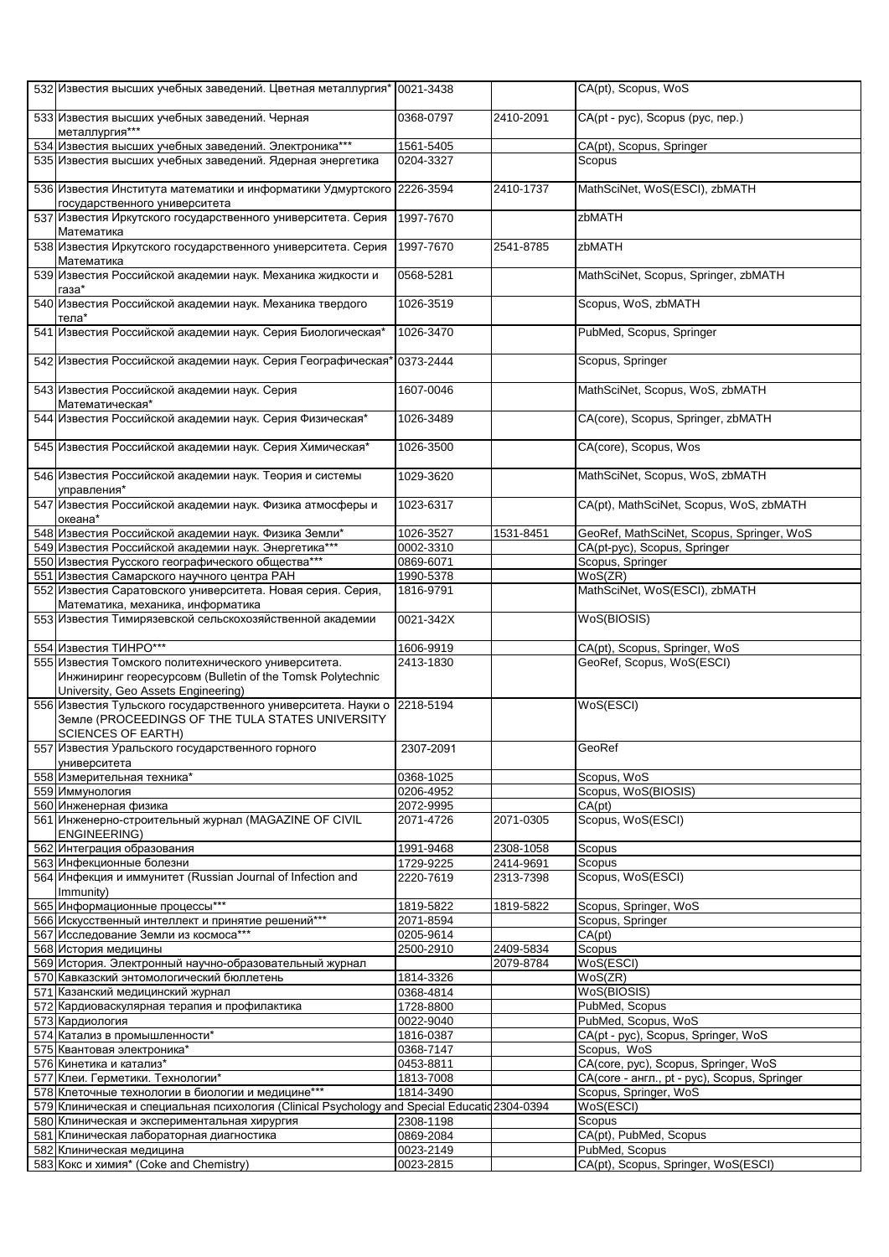| 532 Известия высших учебных заведений. Цветная металлургия* 0021-3438                                                                                     |           |           | CA(pt), Scopus, WoS                          |
|-----------------------------------------------------------------------------------------------------------------------------------------------------------|-----------|-----------|----------------------------------------------|
| 533 Известия высших учебных заведений. Черная<br>металлургия***                                                                                           | 0368-0797 | 2410-2091 | CA(pt - pyc), Scopus (рус, пер.)             |
| 534 Известия высших учебных заведений. Электроника***                                                                                                     | 1561-5405 |           | CA(pt), Scopus, Springer                     |
| 535 Известия высших учебных заведений. Ядерная энергетика                                                                                                 | 0204-3327 |           | Scopus                                       |
| 536 Известия Института математики и информатики Удмуртского 2226-3594<br>государственного университета                                                    |           | 2410-1737 | MathSciNet, WoS(ESCI), zbMATH                |
| 537 Известия Иркутского государственного университета. Серия<br>Математика                                                                                | 1997-7670 |           | zbMATH                                       |
| 538 Известия Иркутского государственного университета. Серия<br>Математика                                                                                | 1997-7670 | 2541-8785 | <b>zbMATH</b>                                |
| 539 Известия Российской академии наук. Механика жидкости и<br>газа*                                                                                       | 0568-5281 |           | MathSciNet, Scopus, Springer, zbMATH         |
| 540 Известия Российской академии наук. Механика твердого<br>тела*                                                                                         | 1026-3519 |           | Scopus, WoS, zbMATH                          |
| 541 Известия Российской академии наук. Серия Биологическая*                                                                                               | 1026-3470 |           | PubMed, Scopus, Springer                     |
| 542 Известия Российской академии наук. Серия Географическая                                                                                               | 0373-2444 |           | Scopus, Springer                             |
| 543 Известия Российской академии наук. Серия<br>Математическая*                                                                                           | 1607-0046 |           | MathSciNet, Scopus, WoS, zbMATH              |
| 544 Известия Российской академии наук. Серия Физическая*                                                                                                  | 1026-3489 |           | CA(core), Scopus, Springer, zbMATH           |
| 545 Известия Российской академии наук. Серия Химическая*                                                                                                  | 1026-3500 |           | CA(core), Scopus, Wos                        |
| 546 Известия Российской академии наук. Теория и системы<br>управления*                                                                                    | 1029-3620 |           | MathSciNet, Scopus, WoS, zbMATH              |
| 547 Известия Российской академии наук. Физика атмосферы и<br>океана*                                                                                      | 1023-6317 |           | CA(pt), MathSciNet, Scopus, WoS, zbMATH      |
| 548 Известия Российской академии наук. Физика Земли*                                                                                                      | 1026-3527 | 1531-8451 | GeoRef, MathSciNet, Scopus, Springer, WoS    |
| 549 Известия Российской академии наук. Энергетика***                                                                                                      | 0002-3310 |           | CA(pt-pyc), Scopus, Springer                 |
| 550 Известия Русского географического общества***                                                                                                         | 0869-6071 |           | Scopus, Springer                             |
| 551 Известия Самарского научного центра РАН                                                                                                               | 1990-5378 |           | WoS(ZR)                                      |
| 552 Известия Саратовского университета. Новая серия. Серия,<br>Математика, механика, информатика                                                          | 1816-9791 |           | MathSciNet, WoS(ESCI), zbMATH                |
| 553 Известия Тимирязевской сельскохозяйственной академии                                                                                                  | 0021-342X |           | WoS(BIOSIS)                                  |
| 554 Известия ТИНРО***                                                                                                                                     | 1606-9919 |           | CA(pt), Scopus, Springer, WoS                |
| 555 Известия Томского политехнического университета.<br>Инжиниринг георесурсовм (Bulletin of the Tomsk Polytechnic<br>University, Geo Assets Engineering) | 2413-1830 |           | GeoRef, Scopus, WoS(ESCI)                    |
| 556 Известия Тульского государственного университета. Науки о<br>Земле (PROCEEDINGS OF THE TULA STATES UNIVERSITY<br><b>SCIENCES OF EARTH)</b>            | 2218-5194 |           | WoS(ESCI)                                    |
| 557 Известия Уральского государственного горного<br>университета                                                                                          | 2307-2091 |           | GeoRef                                       |
| 558 Измерительная техника*                                                                                                                                | 0368-1025 |           | Scopus, WoS                                  |
| 559 Иммунология                                                                                                                                           | 0206-4952 |           | Scopus, WoS(BIOSIS)                          |
| 560 Инженерная физика                                                                                                                                     | 2072-9995 |           | CA(pt)                                       |
| 561 Инженерно-строительный журнал (MAGAZINE OF CIVIL<br><b>ENGINEERING)</b>                                                                               | 2071-4726 | 2071-0305 | Scopus, WoS(ESCI)                            |
| 562 Интеграция образования                                                                                                                                | 1991-9468 | 2308-1058 | Scopus                                       |
| 563 Инфекционные болезни                                                                                                                                  | 1729-9225 | 2414-9691 | Scopus                                       |
| 564 Инфекция и иммунитет (Russian Journal of Infection and<br>Immunity)                                                                                   | 2220-7619 | 2313-7398 | Scopus, WoS(ESCI)                            |
| 565 Информационные процессы***                                                                                                                            | 1819-5822 | 1819-5822 | Scopus, Springer, WoS                        |
| 566 Искусственный интеллект и принятие решений***                                                                                                         | 2071-8594 |           | Scopus, Springer                             |
| 567 Исследование Земли из космоса***                                                                                                                      | 0205-9614 |           | CA(pt)                                       |
| 568 История медицины                                                                                                                                      | 2500-2910 | 2409-5834 | Scopus                                       |
| 569 История. Электронный научно-образовательный журнал                                                                                                    |           | 2079-8784 | WoS(ESCI)                                    |
| 570 Кавказский энтомологический бюллетень                                                                                                                 | 1814-3326 |           | WoS(ZR)                                      |
| 571 Казанский медицинский журнал                                                                                                                          | 0368-4814 |           | WoS(BIOSIS)                                  |
| 572 Кардиоваскулярная терапия и профилактика                                                                                                              | 1728-8800 |           | PubMed, Scopus                               |
| 573 Кардиология                                                                                                                                           | 0022-9040 |           | PubMed, Scopus, WoS                          |
| 574 Катализ в промышленности*                                                                                                                             | 1816-0387 |           | CA(pt - pyc), Scopus, Springer, WoS          |
| 575 Квантовая электроника*                                                                                                                                | 0368-7147 |           | Scopus, WoS                                  |
| 576 Кинетика и катализ*                                                                                                                                   | 0453-8811 |           | CA(core, pyc), Scopus, Springer, WoS         |
| 577 Клеи. Герметики. Технологии*                                                                                                                          | 1813-7008 |           | CA(core - англ., pt - pyc), Scopus, Springer |
| 578 Клеточные технологии в биологии и медицине***                                                                                                         | 1814-3490 |           | Scopus, Springer, WoS                        |
| 579 Клиническая и специальная психология (Clinical Psychology and Special Educatid 2304-0394                                                              |           |           | WoS(ESCI)                                    |
| 580 Клиническая и экспериментальная хирургия                                                                                                              | 2308-1198 |           | Scopus                                       |
| 581 Клиническая лабораторная диагностика                                                                                                                  | 0869-2084 |           | CA(pt), PubMed, Scopus                       |
| 582 Клиническая медицина                                                                                                                                  | 0023-2149 |           | PubMed, Scopus                               |
| 583 Кокс и химия* (Coke and Chemistry)                                                                                                                    | 0023-2815 |           | CA(pt), Scopus, Springer, WoS(ESCI)          |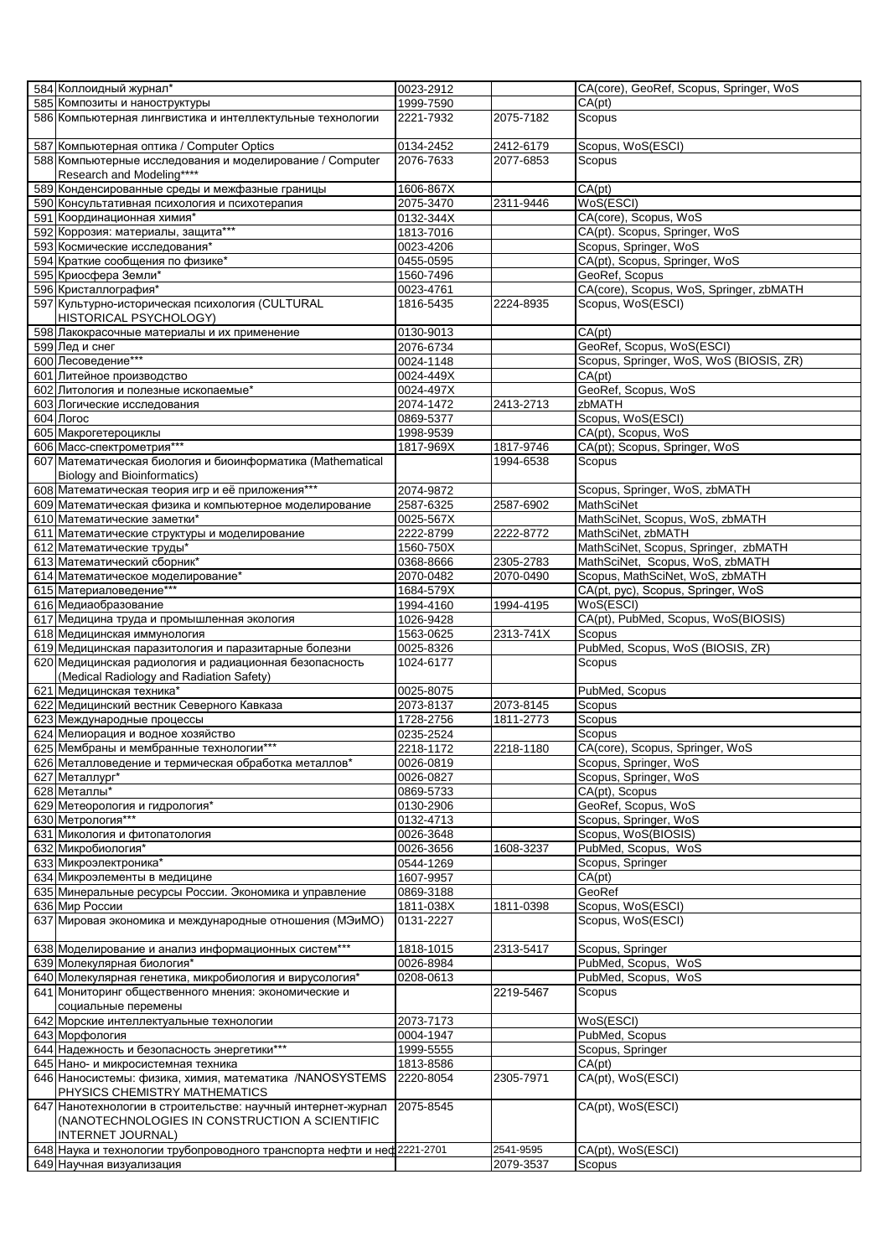| 584 Коллоидный журнал*                                                  | 0023-2912 |           | CA(core), GeoRef, Scopus, Springer, WoS |
|-------------------------------------------------------------------------|-----------|-----------|-----------------------------------------|
| 585 Композиты и наноструктуры                                           | 1999-7590 |           | CA(pt)                                  |
| 586 Компьютерная лингвистика и интеллектульные технологии               | 2221-7932 | 2075-7182 | Scopus                                  |
|                                                                         |           |           |                                         |
| 587 Компьютерная оптика / Computer Optics                               | 0134-2452 | 2412-6179 | Scopus, WoS(ESCI)                       |
| 588 Компьютерные исследования и моделирование / Computer                | 2076-7633 | 2077-6853 | Scopus                                  |
| Research and Modeling****                                               |           |           |                                         |
| 589 Конденсированные среды и межфазные границы                          | 1606-867X |           | CA(pt)                                  |
|                                                                         |           |           |                                         |
| 590 Консультативная психология и психотерапия                           | 2075-3470 | 2311-9446 | WoS(ESCI)                               |
| 591 Координационная химия*                                              | 0132-344X |           | CA(core), Scopus, WoS                   |
| 592 Коррозия: материалы, защита***                                      | 1813-7016 |           | CA(pt). Scopus, Springer, WoS           |
| 593 Космические исследования*                                           | 0023-4206 |           | Scopus, Springer, WoS                   |
| 594 Краткие сообщения по физике*                                        | 0455-0595 |           | CA(pt), Scopus, Springer, WoS           |
| 595 Криосфера Земли*                                                    | 1560-7496 |           | GeoRef, Scopus                          |
| 596 Кристаллография*                                                    | 0023-4761 |           | CA(core), Scopus, WoS, Springer, zbMATH |
| 597 Культурно-историческая психология (CULTURAL                         | 1816-5435 | 2224-8935 | Scopus, WoS(ESCI)                       |
| HISTORICAL PSYCHOLOGY)                                                  |           |           |                                         |
|                                                                         |           |           |                                         |
| 598 Лакокрасочные материалы и их применение                             | 0130-9013 |           | CA(pt)                                  |
| 599 Лед и снег                                                          | 2076-6734 |           | GeoRef, Scopus, WoS(ESCI)               |
| 600 Лесоведение***                                                      | 0024-1148 |           | Scopus, Springer, WoS, WoS (BIOSIS, ZR) |
| 601 Литейное производство                                               | 0024-449X |           | CA(pt)                                  |
| 602 Литология и полезные ископаемые*                                    | 0024-497X |           | GeoRef, Scopus, WoS                     |
| 603 Логические исследования                                             | 2074-1472 | 2413-2713 | zbMATH                                  |
| 604 Логос                                                               | 0869-5377 |           | Scopus, WoS(ESCI)                       |
| 605 Макрогетероциклы                                                    | 1998-9539 |           | CA(pt), Scopus, WoS                     |
|                                                                         |           |           |                                         |
| 606 Масс-спектрометрия***                                               | 1817-969X | 1817-9746 | CA(pt); Scopus, Springer, WoS           |
| 607 Математическая биология и биоинформатика (Mathematical              |           | 1994-6538 | Scopus                                  |
| <b>Biology and Bioinformatics)</b>                                      |           |           |                                         |
| 608 Математическая теория игр и её приложения***                        | 2074-9872 |           | Scopus, Springer, WoS, zbMATH           |
| 609 Математическая физика и компьютерное моделирование                  | 2587-6325 | 2587-6902 | MathSciNet                              |
| 610 Математические заметки*                                             | 0025-567X |           | MathSciNet, Scopus, WoS, zbMATH         |
| 611 Математические структуры и моделирование                            | 2222-8799 | 2222-8772 | MathSciNet, zbMATH                      |
| 612 Математические труды*                                               | 1560-750X |           | MathSciNet, Scopus, Springer, zbMATH    |
| 613 Математический сборник*                                             | 0368-8666 | 2305-2783 | MathSciNet, Scopus, WoS, zbMATH         |
|                                                                         |           |           |                                         |
| 614 Математическое моделирование*                                       | 2070-0482 | 2070-0490 | Scopus, MathSciNet, WoS, zbMATH         |
| 615 Материаловедение***                                                 | 1684-579X |           | CA(pt, pyc), Scopus, Springer, WoS      |
| 616 Медиаобразование                                                    | 1994-4160 | 1994-4195 | WoS(ESCI)                               |
| 617 Медицина труда и промышленная экология                              | 1026-9428 |           | CA(pt), PubMed, Scopus, WoS(BIOSIS)     |
| 618 Медицинская иммунология                                             | 1563-0625 | 2313-741X | Scopus                                  |
| 619 Медицинская паразитология и паразитарные болезни                    | 0025-8326 |           | PubMed, Scopus, WoS (BIOSIS, ZR)        |
| 620 Медицинская радиология и радиационная безопасность                  | 1024-6177 |           | Scopus                                  |
| (Medical Radiology and Radiation Safety)                                |           |           |                                         |
| 621 Медицинская техника*                                                |           |           | PubMed, Scopus                          |
|                                                                         | 0025-8075 |           |                                         |
| 622 Медицинский вестник Северного Кавказа                               | 2073-8137 | 2073-8145 | Scopus                                  |
| 623 Международные процессы                                              | 1728-2756 | 1811-2773 | Scopus                                  |
| 624 Мелиорация и водное хозяйство                                       | 0235-2524 |           | Scopus                                  |
| 625 Мембраны и мембранные технологии***                                 | 2218-1172 | 2218-1180 | CA(core), Scopus, Springer, WoS         |
| 626 Металловедение и термическая обработка металлов*                    | 0026-0819 |           | Scopus, Springer, WoS                   |
| 627 Металлург*                                                          | 0026-0827 |           | Scopus, Springer, WoS                   |
| 628 Металлы*                                                            | 0869-5733 |           | CA(pt), Scopus                          |
| 629 Метеорология и гидрология*                                          | 0130-2906 |           | GeoRef, Scopus, WoS                     |
|                                                                         |           |           |                                         |
| 630 Метрология***                                                       | 0132-4713 |           | Scopus, Springer, WoS                   |
| 631 Микология и фитопатология                                           | 0026-3648 |           | Scopus, WoS(BIOSIS)                     |
| 632 Микробиология*                                                      | 0026-3656 | 1608-3237 | PubMed, Scopus, WoS                     |
| 633 Микроэлектроника*                                                   | 0544-1269 |           | Scopus, Springer                        |
| 634 Микроэлементы в медицине                                            | 1607-9957 |           | CA(pt)                                  |
| 635 Минеральные ресурсы России. Экономика и управление                  | 0869-3188 |           | GeoRef                                  |
| 636 Мир России                                                          | 1811-038X | 1811-0398 | Scopus, WoS(ESCI)                       |
| 637 Мировая экономика и международные отношения (МЭиМО)                 | 0131-2227 |           | Scopus, WoS(ESCI)                       |
|                                                                         |           |           |                                         |
|                                                                         |           |           |                                         |
| 638 Моделирование и анализ информационных систем***                     | 1818-1015 | 2313-5417 | Scopus, Springer                        |
| 639 Молекулярная биология*                                              | 0026-8984 |           | PubMed, Scopus, WoS                     |
| 640 Молекулярная генетика, микробиология и вирусология*                 | 0208-0613 |           | PubMed, Scopus, WoS                     |
| 641 Мониторинг общественного мнения: экономические и                    |           | 2219-5467 | Scopus                                  |
| социальные перемены                                                     |           |           |                                         |
| 642 Морские интеллектуальные технологии                                 | 2073-7173 |           | WoS(ESCI)                               |
| 643 Морфология                                                          | 0004-1947 |           | PubMed, Scopus                          |
| 644 Надежность и безопасность энергетики***                             | 1999-5555 |           | Scopus, Springer                        |
| 645 Нано- и микросистемная техника                                      | 1813-8586 |           | CA(pt)                                  |
|                                                                         |           |           |                                         |
| 646 Наносистемы: физика, химия, математика /NANOSYSTEMS                 | 2220-8054 | 2305-7971 | CA(pt), WoS(ESCI)                       |
| PHYSICS CHEMISTRY MATHEMATICS                                           |           |           |                                         |
| 647 Нанотехнологии в строительстве: научный интернет-журнал             | 2075-8545 |           | CA(pt), WoS(ESCI)                       |
| (NANOTECHNOLOGIES IN CONSTRUCTION A SCIENTIFIC                          |           |           |                                         |
| INTERNET JOURNAL)                                                       |           |           |                                         |
| 648 Наука и технологии трубопроводного транспорта нефти и неф 2221-2701 |           | 2541-9595 | CA(pt), WoS(ESCI)                       |
| 649 Научная визуализация                                                |           | 2079-3537 | Scopus                                  |
|                                                                         |           |           |                                         |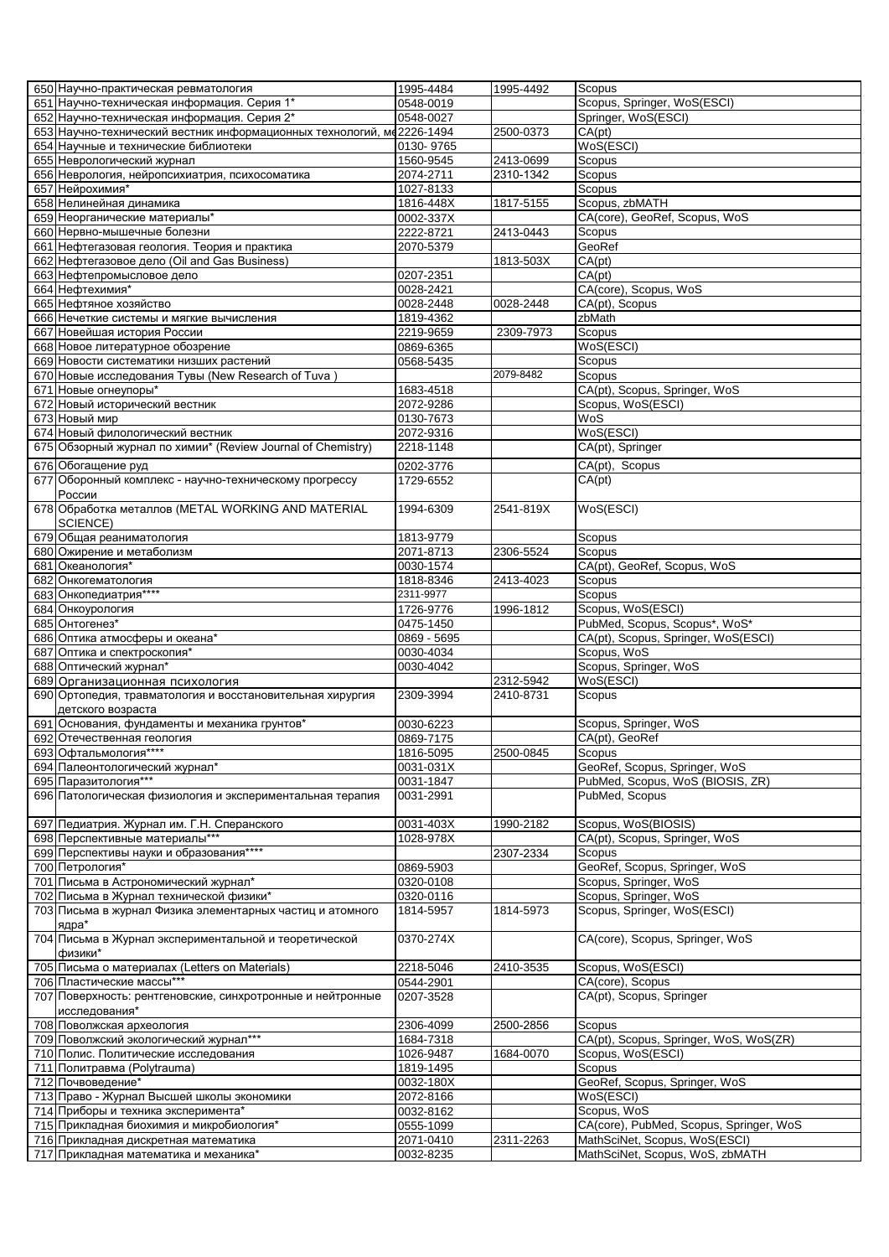| 650 Научно-практическая ревматология                                   | 1995-4484   | 1995-4492 | Scopus                                  |
|------------------------------------------------------------------------|-------------|-----------|-----------------------------------------|
| 651 Научно-техническая информация. Серия 1*                            | 0548-0019   |           | Scopus, Springer, WoS(ESCI)             |
| 652 Научно-техническая информация. Серия 2*                            | 0548-0027   |           | Springer, WoS(ESCI)                     |
| 653 Научно-технический вестник информационных технологий, ме 2226-1494 |             | 2500-0373 | CA(pt)                                  |
| 654 Научные и технические библиотеки                                   | 0130-9765   |           | WoS(ESCI)                               |
| 655 Неврологический журнал                                             | 1560-9545   | 2413-0699 | Scopus                                  |
| 656 Неврология, нейропсихиатрия, психосоматика                         | 2074-2711   | 2310-1342 | Scopus                                  |
| 657 Нейрохимия*                                                        | 1027-8133   |           | <b>Scopus</b>                           |
| 658 Нелинейная динамика                                                | 1816-448X   | 1817-5155 | Scopus, zbMATH                          |
| 659 Неорганические материалы*                                          | 0002-337X   |           | CA(core), GeoRef, Scopus, WoS           |
| 660 Нервно-мышечные болезни                                            | 2222-8721   | 2413-0443 | Scopus                                  |
| 661 Нефтегазовая геология. Теория и практика                           | 2070-5379   |           | GeoRef                                  |
| 662 Нефтегазовое дело (Oil and Gas Business)                           |             | 1813-503X | CA(pt)                                  |
| 663 Нефтепромысловое дело                                              | 0207-2351   |           | CA(pt)                                  |
| 664 Нефтехимия*                                                        | 0028-2421   |           | CA(core), Scopus, WoS                   |
| 665 Нефтяное хозяйство                                                 | 0028-2448   | 0028-2448 | CA(pt), Scopus                          |
| 666 Нечеткие системы и мягкие вычисления                               | 1819-4362   |           | zbMath                                  |
| 667 Новейшая история России                                            | 2219-9659   | 2309-7973 | Scopus                                  |
| 668 Новое литературное обозрение                                       | 0869-6365   |           | WoS(ESCI)                               |
| 669 Новости систематики низших растений                                | 0568-5435   |           | Scopus                                  |
| 670 Новые исследования Тувы (New Research of Tuva)                     |             | 2079-8482 | Scopus                                  |
| 671 Новые огнеупоры*                                                   | 1683-4518   |           | CA(pt), Scopus, Springer, WoS           |
| 672 Новый исторический вестник                                         | 2072-9286   |           | Scopus, WoS(ESCI)                       |
| 673 Новый мир                                                          | 0130-7673   |           | WoS                                     |
| 674 Новый филологический вестник                                       | 2072-9316   |           | WoS(ESCI)                               |
| 675 Обзорный журнал по химии* (Review Journal of Chemistry)            | 2218-1148   |           | CA(pt), Springer                        |
|                                                                        |             |           |                                         |
| 676 Обогащение руд                                                     | 0202-3776   |           | CA(pt), Scopus                          |
| 677 Оборонный комплекс - научно-техническому прогрессу                 | 1729-6552   |           | CA(pt)                                  |
| России                                                                 |             |           |                                         |
| 678 Обработка металлов (METAL WORKING AND MATERIAL                     | 1994-6309   | 2541-819X | WoS(ESCI)                               |
| SCIENCE)                                                               |             |           |                                         |
| 679 Общая реаниматология                                               | 1813-9779   |           | Scopus                                  |
| 680 Ожирение и метаболизм                                              | 2071-8713   | 2306-5524 | Scopus                                  |
| 681 Океанология*                                                       | 0030-1574   |           | CA(pt), GeoRef, Scopus, WoS             |
| 682 Онкогематология                                                    | 1818-8346   | 2413-4023 | Scopus                                  |
| 683 Онкопедиатрия****                                                  | 2311-9977   |           | Scopus                                  |
| 684 Онкоурология                                                       | 1726-9776   | 1996-1812 | Scopus, WoS(ESCI)                       |
| 685 Онтогенез*                                                         | 0475-1450   |           | PubMed, Scopus, Scopus*, WoS*           |
| 686 Оптика атмосферы и океана*                                         | 0869 - 5695 |           | CA(pt), Scopus, Springer, WoS(ESCI)     |
| 687 Оптика и спектроскопия*                                            | 0030-4034   |           | Scopus, WoS                             |
| 688 Оптический журнал*                                                 | 0030-4042   |           | Scopus, Springer, WoS                   |
| 689 Организационная психология                                         |             | 2312-5942 | WoS(ESCI)                               |
| 690 Ортопедия, травматология и восстановительная хирургия              | 2309-3994   | 2410-8731 | Scopus                                  |
| детского возраста                                                      |             |           |                                         |
| 691 Основания, фундаменты и механика грунтов*                          | 0030-6223   |           | Scopus, Springer, WoS                   |
| 692 Отечественная геология                                             | 0869-7175   |           | CA(pt), GeoRef                          |
| 693 Офтальмология****                                                  | 1816-5095   | 2500-0845 | <b>Scopus</b>                           |
| 694 Палеонтологический журнал*                                         | 0031-031X   |           | GeoRef, Scopus, Springer, WoS           |
| 695 Паразитология***                                                   | 0031-1847   |           | PubMed, Scopus, WoS (BIOSIS, ZR)        |
| 696 Патологическая физиология и экспериментальная терапия              | 0031-2991   |           | PubMed, Scopus                          |
|                                                                        |             |           |                                         |
| 697 Педиатрия. Журнал им. Г.Н. Сперанского                             | 0031-403X   | 1990-2182 | Scopus, WoS(BIOSIS)                     |
| 698 Перспективные материалы***                                         | 1028-978X   |           | CA(pt), Scopus, Springer, WoS           |
| 699 Перспективы науки и образования****                                |             |           | Scopus                                  |
|                                                                        |             | 2307-2334 |                                         |
| 700 Петрология*                                                        | 0869-5903   |           | GeoRef, Scopus, Springer, WoS           |
| 701 Письма в Астрономический журнал*                                   | 0320-0108   |           | Scopus, Springer, WoS                   |
| 702 Письма в Журнал технической физики*                                | 0320-0116   |           | Scopus, Springer, WoS                   |
| 703 Письма в журнал Физика элементарных частиц и атомного              | 1814-5957   | 1814-5973 | Scopus, Springer, WoS(ESCI)             |
| ядра*                                                                  |             |           |                                         |
| 704 Письма в Журнал экспериментальной и теоретической                  | 0370-274X   |           | CA(core), Scopus, Springer, WoS         |
| физики*                                                                |             |           |                                         |
| 705 Письма о материалах (Letters on Materials)                         | 2218-5046   | 2410-3535 | Scopus, WoS(ESCI)                       |
| 706 Пластические массы***                                              | 0544-2901   |           | CA(core), Scopus                        |
| 707 Поверхность: рентгеновские, синхротронные и нейтронные             | 0207-3528   |           | CA(pt), Scopus, Springer                |
| исследования*                                                          |             |           |                                         |
| 708 Поволжская археология                                              | 2306-4099   | 2500-2856 | Scopus                                  |
| 709 Поволжский экологический журнал***                                 | 1684-7318   |           | CA(pt), Scopus, Springer, WoS, WoS(ZR)  |
| 710 Полис. Политические исследования                                   | 1026-9487   | 1684-0070 | Scopus, WoS(ESCI)                       |
| 711 Политравма (Polytrauma)                                            | 1819-1495   |           | Scopus                                  |
| 712 Почвоведение*                                                      | 0032-180X   |           | GeoRef, Scopus, Springer, WoS           |
| 713 Право - Журнал Высшей школы экономики                              | 2072-8166   |           | WoS(ESCI)                               |
| 714 Приборы и техника эксперимента*                                    | 0032-8162   |           | Scopus, WoS                             |
| 715 Прикладная биохимия и микробиология*                               | 0555-1099   |           | CA(core), PubMed, Scopus, Springer, WoS |
| 716 Прикладная дискретная математика                                   | 2071-0410   | 2311-2263 | MathSciNet, Scopus, WoS(ESCI)           |
| 717 Прикладная математика и механика*                                  | 0032-8235   |           | MathSciNet, Scopus, WoS, zbMATH         |
|                                                                        |             |           |                                         |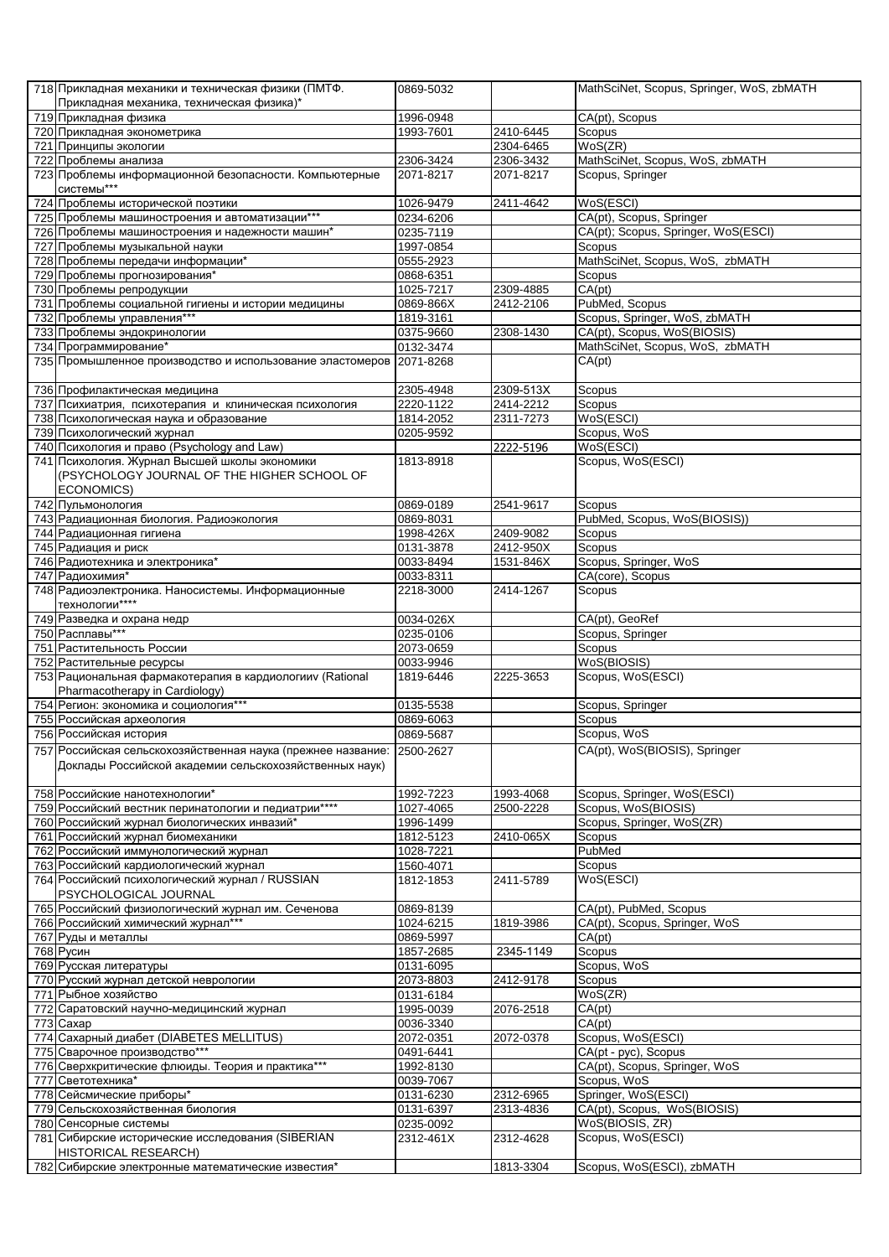| 718 Прикладная механики и техническая физики (ПМТФ.<br>Прикладная механика, техническая физика)*                                 | 0869-5032              |           | MathSciNet, Scopus, Springer, WoS, zbMATH |
|----------------------------------------------------------------------------------------------------------------------------------|------------------------|-----------|-------------------------------------------|
| 719 Прикладная физика                                                                                                            | 1996-0948              |           | CA(pt), Scopus                            |
| 720 Прикладная эконометрика                                                                                                      | 1993-7601              | 2410-6445 | Scopus                                    |
| 721 Принципы экологии                                                                                                            |                        | 2304-6465 | WoS(ZR)                                   |
| 722 Проблемы анализа                                                                                                             | 2306-3424              | 2306-3432 | MathSciNet, Scopus, WoS, zbMATH           |
| 723 Проблемы информационной безопасности. Компьютерные<br>системы***                                                             | 2071-8217              | 2071-8217 | Scopus, Springer                          |
| 724 Проблемы исторической поэтики                                                                                                | 1026-9479              | 2411-4642 | WoS(ESCI)                                 |
| 725 Проблемы машиностроения и автоматизации***                                                                                   | 0234-6206              |           | CA(pt), Scopus, Springer                  |
| 726 Проблемы машиностроения и надежности машин*                                                                                  | 0235-7119              |           | CA(pt); Scopus, Springer, WoS(ESCI)       |
| 727 Проблемы музыкальной науки                                                                                                   | 1997-0854              |           | Scopus                                    |
| 728 Проблемы передачи информации*                                                                                                | 0555-2923              |           | MathSciNet, Scopus, WoS, zbMATH           |
| 729 Проблемы прогнозирования*                                                                                                    | 0868-6351              |           | Scopus                                    |
| 730 Проблемы репродукции                                                                                                         | 1025-7217              | 2309-4885 | CA(pt)                                    |
| 731 Проблемы социальной гигиены и истории медицины                                                                               | 0869-866X              | 2412-2106 | PubMed, Scopus                            |
| 732 Проблемы управления***                                                                                                       | 1819-3161              |           | Scopus, Springer, WoS, zbMATH             |
| 733 Проблемы эндокринологии                                                                                                      | 0375-9660              | 2308-1430 | CA(pt), Scopus, WoS(BIOSIS)               |
| 734 Программирование*                                                                                                            | 0132-3474              |           | MathSciNet, Scopus, WoS, zbMATH           |
| 735 Промышленное производство и использование эластомеров 2071-8268                                                              |                        |           | $\overline{CA}$ (pt)                      |
| 736 Профилактическая медицина                                                                                                    | 2305-4948              | 2309-513X | Scopus                                    |
| 737 Психиатрия, психотерапия и клиническая психология                                                                            | 2220-1122              | 2414-2212 | Scopus                                    |
| 738 Психологическая наука и образование                                                                                          | 1814-2052              | 2311-7273 | WoS(ESCI)                                 |
| 739 Психологический журнал                                                                                                       | 0205-9592              |           | Scopus, WoS                               |
| 740 Психология и право (Psychology and Law)                                                                                      |                        | 2222-5196 | WoS(ESCI)                                 |
| 741 Психология. Журнал Высшей школы экономики<br>(PSYCHOLOGY JOURNAL OF THE HIGHER SCHOOL OF                                     | 1813-8918              |           | Scopus, WoS(ESCI)                         |
| <b>ECONOMICS)</b>                                                                                                                |                        |           |                                           |
| 742 Пульмонология                                                                                                                | 0869-0189              | 2541-9617 | Scopus                                    |
| 743 Радиационная биология. Радиоэкология                                                                                         | 0869-8031              |           | PubMed, Scopus, WoS(BIOSIS))              |
| 744 Радиационная гигиена                                                                                                         | 1998-426X              | 2409-9082 | Scopus                                    |
| 745 Радиация и риск                                                                                                              | 0131-3878              | 2412-950X | Scopus                                    |
| 746 Радиотехника и электроника*                                                                                                  | 0033-8494              | 1531-846X | Scopus, Springer, WoS                     |
| 747 Радиохимия*                                                                                                                  | 0033-8311              |           | CA(core), Scopus                          |
| 748 Радиоэлектроника. Наносистемы. Информационные<br>технологии****                                                              | 2218-3000              | 2414-1267 | Scopus                                    |
| 749 Разведка и охрана недр                                                                                                       | 0034-026X              |           | CA(pt), GeoRef                            |
| 750 Расплавы***                                                                                                                  | 0235-0106              |           | Scopus, Springer                          |
| 751 Растительность России                                                                                                        | 2073-0659              |           | Scopus                                    |
| 752 Растительные ресурсы                                                                                                         | 0033-9946              |           | WoS(BIOSIS)                               |
| 753 Рациональная фармакотерапия в кардиологииv (Rational<br>Pharmacotherapy in Cardiology)                                       | 1819-6446              | 2225-3653 | Scopus, WoS(ESCI)                         |
| 754 Регион: экономика и социология***                                                                                            | 0135-5538              |           | Scopus, Springer                          |
| 755 Российская археология                                                                                                        | 0869-6063              |           | Scopus                                    |
| 756 Российская история                                                                                                           | 0869-5687              |           | Scopus, WoS                               |
| 757 Российская сельскохозяйственная наука (прежнее название: 2500-2627<br>Доклады Российской академии сельскохозяйственных наук) |                        |           | CA(pt), WoS(BIOSIS), Springer             |
| 758 Российские нанотехнологии*                                                                                                   | 1992-7223              | 1993-4068 | Scopus, Springer, WoS(ESCI)               |
| 759 Российский вестник перинатологии и педиатрии****                                                                             | 1027-4065              | 2500-2228 | Scopus, WoS(BIOSIS)                       |
| 760 Российский журнал биологических инвазий*                                                                                     | 1996-1499              |           | Scopus, Springer, WoS(ZR)                 |
| 761 Российский журнал биомеханики                                                                                                | 1812-5123              | 2410-065X | Scopus                                    |
| 762 Российский иммунологический журнал                                                                                           | 1028-7221              |           | PubMed                                    |
| 763 Российский кардиологический журнал                                                                                           | 1560-4071              |           | Scopus                                    |
| 764 Российский психологический журнал / RUSSIAN<br>PSYCHOLOGICAL JOURNAL                                                         | 1812-1853              | 2411-5789 | WoS(ESCI)                                 |
| 765 Российский физиологический журнал им. Сеченова                                                                               | 0869-8139              |           | CA(pt), PubMed, Scopus                    |
| 766 Российский химический журнал***                                                                                              | 1024-6215              | 1819-3986 | CA(pt), Scopus, Springer, WoS             |
| 767 Руды и металлы                                                                                                               | 0869-5997              |           | CA(pt)                                    |
| 768 Русин                                                                                                                        | 1857-2685              | 2345-1149 | Scopus                                    |
| 769 Русская литературы                                                                                                           | 0131-6095              |           | Scopus, WoS                               |
| 770 Русский журнал детской неврологии                                                                                            | 2073-8803              | 2412-9178 | Scopus                                    |
| 771 Рыбное хозяйство                                                                                                             | 0131-6184<br>1995-0039 |           | WoS(ZR)                                   |
| 772 Саратовский научно-медицинский журнал<br>773 Caxap                                                                           | 0036-3340              | 2076-2518 | CA(pt)<br>CA(pt)                          |
| 774 Сахарный диабет (DIABETES MELLITUS)                                                                                          | 2072-0351              | 2072-0378 | Scopus, WoS(ESCI)                         |
| 775 Сварочное производство***                                                                                                    | 0491-6441              |           | CA(pt - pyc), Scopus                      |
| 776 Сверхкритические флюиды. Теория и практика***                                                                                | 1992-8130              |           | CA(pt), Scopus, Springer, WoS             |
| 777 Светотехника*                                                                                                                | 0039-7067              |           | Scopus, WoS                               |
| 778 Сейсмические приборы*                                                                                                        | 0131-6230              | 2312-6965 | Springer, WoS(ESCI)                       |
| 779 Сельскохозяйственная биология                                                                                                | 0131-6397              | 2313-4836 | CA(pt), Scopus, WoS(BIOSIS)               |
| 780 Сенсорные системы                                                                                                            | 0235-0092              |           | WoS(BIOSIS, ZR)                           |
| 781 Сибирские исторические исследования (SIBERIAN<br><b>HISTORICAL RESEARCH)</b>                                                 | 2312-461X              | 2312-4628 | Scopus, WoS(ESCI)                         |
| 782 Сибирские электронные математические известия*                                                                               |                        | 1813-3304 | Scopus, WoS(ESCI), zbMATH                 |
|                                                                                                                                  |                        |           |                                           |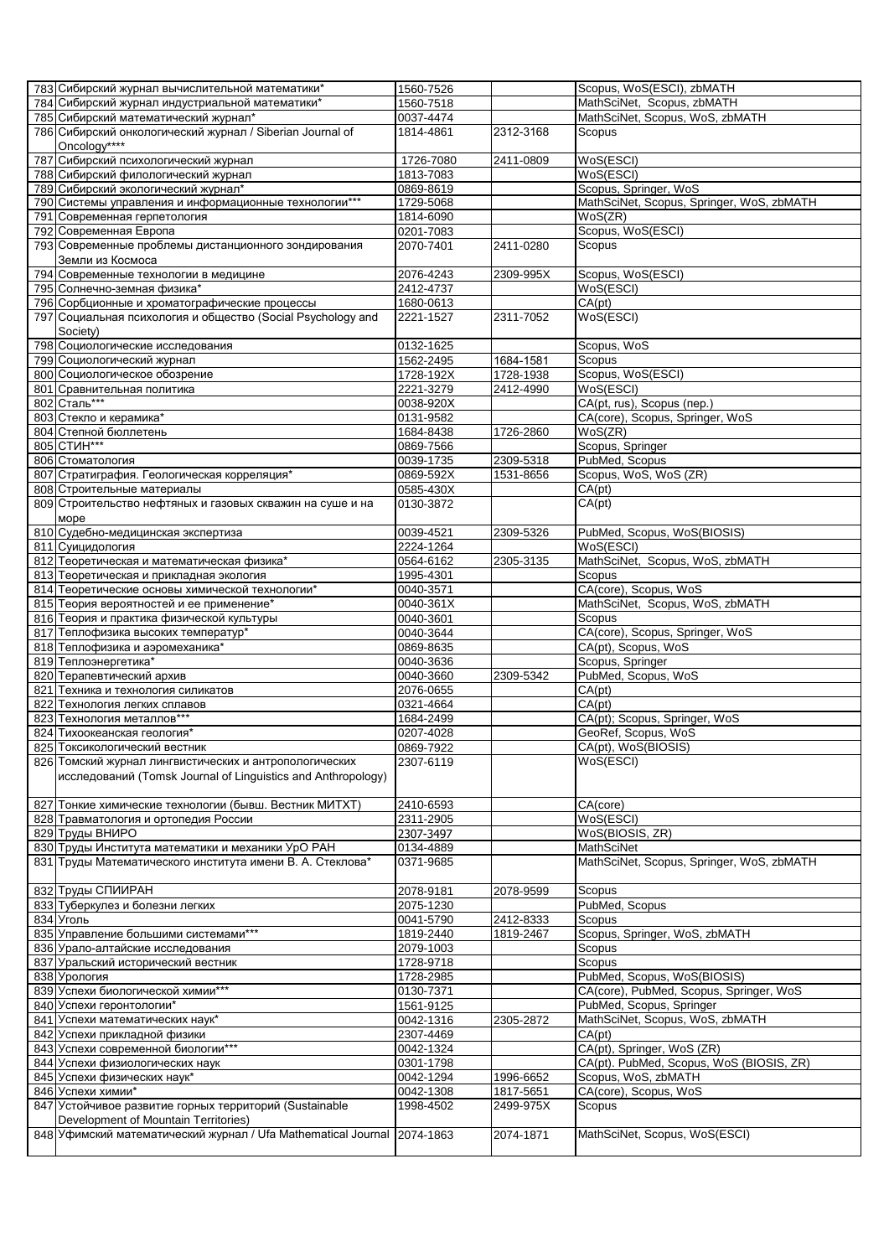|     | 783 Сибирский журнал вычислительной математики*                         | 1560-7526 |           | Scopus, WoS(ESCI), zbMATH                 |
|-----|-------------------------------------------------------------------------|-----------|-----------|-------------------------------------------|
|     | 784 Сибирский журнал индустриальной математики*                         | 1560-7518 |           | MathSciNet, Scopus, zbMATH                |
|     | 785 Сибирский математический журнал*                                    | 0037-4474 |           | MathSciNet, Scopus, WoS, zbMATH           |
|     | 786 Сибирский онкологический журнал / Siberian Journal of               | 1814-4861 | 2312-3168 | Scopus                                    |
|     | Oncology****                                                            |           |           |                                           |
|     |                                                                         |           |           |                                           |
| 787 | Сибирский психологический журнал                                        | 1726-7080 | 2411-0809 | WoS(ESCI)                                 |
|     | 788 Сибирский филологический журнал                                     | 1813-7083 |           | WoS(ESCI)                                 |
|     | 789 Сибирский экологический журнал*                                     | 0869-8619 |           | Scopus, Springer, WoS                     |
|     | 790 Системы управления и информационные технологии***                   | 1729-5068 |           | MathSciNet, Scopus, Springer, WoS, zbMATH |
|     | 791 Современная герпетология                                            | 1814-6090 |           | WoS(ZR)                                   |
|     | 792 Современная Европа                                                  | 0201-7083 |           | Scopus, WoS(ESCI)                         |
|     | 793 Современные проблемы дистанционного зондирования                    | 2070-7401 | 2411-0280 | Scopus                                    |
|     | Земли из Космоса                                                        |           |           |                                           |
|     | 794 Современные технологии в медицине                                   | 2076-4243 | 2309-995X | Scopus, WoS(ESCI)                         |
|     | 795 Солнечно-земная физика*                                             | 2412-4737 |           | WoS(ESCI)                                 |
|     | 796 Сорбционные и хроматографические процессы                           | 1680-0613 |           | CA(pt)                                    |
|     |                                                                         |           |           |                                           |
|     | 797 Социальная психология и общество (Social Psychology and             | 2221-1527 | 2311-7052 | WoS(ESCI)                                 |
|     | Society)                                                                |           |           |                                           |
|     | 798 Социологические исследования                                        | 0132-1625 |           | Scopus, WoS                               |
|     | 799 Социологический журнал                                              | 1562-2495 | 1684-1581 | Scopus                                    |
|     | 800 Социологическое обозрение                                           | 1728-192X | 1728-1938 | Scopus, WoS(ESCI)                         |
|     | 801 Сравнительная политика                                              | 2221-3279 | 2412-4990 | WoS(ESCI)                                 |
|     | 802 Сталь***                                                            | 0038-920X |           | CA(pt, rus), Scopus (nep.)                |
|     | 803 Стекло и керамика*                                                  | 0131-9582 |           | CA(core), Scopus, Springer, WoS           |
|     | 804 Степной бюллетень                                                   | 1684-8438 | 1726-2860 | WoS(ZR)                                   |
|     | 805 CTMH***                                                             | 0869-7566 |           | Scopus, Springer                          |
|     | 806 Стоматология                                                        | 0039-1735 | 2309-5318 | PubMed, Scopus                            |
|     | 807 Стратиграфия. Геологическая корреляция*                             | 0869-592X | 1531-8656 | Scopus, WoS, WoS (ZR)                     |
|     |                                                                         |           |           |                                           |
|     | 808 Строительные материалы                                              | 0585-430X |           | CA(pt)                                    |
|     | 809 Строительство нефтяных и газовых скважин на суше и на               | 0130-3872 |           | CA(pt)                                    |
|     | <b>MODE</b>                                                             |           |           |                                           |
|     | 810 Судебно-медицинская экспертиза                                      | 0039-4521 | 2309-5326 | PubMed, Scopus, WoS(BIOSIS)               |
|     | 811 Суицидология                                                        | 2224-1264 |           | WoS(ESCI)                                 |
|     | 812 Теоретическая и математическая физика*                              | 0564-6162 | 2305-3135 | MathSciNet, Scopus, WoS, zbMATH           |
|     | 813 Теоретическая и прикладная экология                                 | 1995-4301 |           | Scopus                                    |
|     | 814 Теоретические основы химической технологии*                         | 0040-3571 |           | CA(core), Scopus, WoS                     |
|     | 815 Теория вероятностей и ее применение*                                | 0040-361X |           | MathSciNet, Scopus, WoS, zbMATH           |
|     | 816 Теория и практика физической культуры                               | 0040-3601 |           | Scopus                                    |
|     |                                                                         |           |           | CA(core), Scopus, Springer, WoS           |
|     | 817 Теплофизика высоких температур*                                     | 0040-3644 |           |                                           |
|     | 818 Теплофизика и аэромеханика*                                         | 0869-8635 |           | CA(pt), Scopus, WoS                       |
|     | 819 Теплоэнергетика*                                                    | 0040-3636 |           | Scopus, Springer                          |
|     | 820 Терапевтический архив                                               | 0040-3660 | 2309-5342 | PubMed, Scopus, WoS                       |
| 821 | Техника и технология силикатов                                          | 2076-0655 |           | CA(pt)                                    |
| 822 | Технология легких сплавов                                               | 0321-4664 |           | CA(pt)                                    |
|     | 823 Технология металлов***                                              | 1684-2499 |           | CA(pt); Scopus, Springer, WoS             |
|     | 824 Тихоокеанская геология*                                             | 0207-4028 |           | GeoRef, Scopus, WoS                       |
|     | 825 Токсикологический вестник                                           | 0869-7922 |           | CA(pt), WoS(BIOSIS)                       |
|     | 826 Томский журнал лингвистических и антропологических                  | 2307-6119 |           | WoS(ESCI)                                 |
|     | исследований (Tomsk Journal of Linguistics and Anthropology)            |           |           |                                           |
|     |                                                                         |           |           |                                           |
|     |                                                                         |           |           |                                           |
|     | 827 Тонкие химические технологии (бывш. Вестник МИТХТ)                  | 2410-6593 |           | CA(core)                                  |
|     | 828 Травматология и ортопедия России                                    | 2311-2905 |           | WoS(ESCI)                                 |
|     | 829 Труды ВНИРО                                                         | 2307-3497 |           | WoS(BIOSIS, ZR)                           |
|     | 830 Труды Института математики и механики УрО РАН                       | 0134-4889 |           | <b>MathSciNet</b>                         |
|     | 831 Труды Математического института имени В. А. Стеклова*               | 0371-9685 |           | MathSciNet, Scopus, Springer, WoS, zbMATH |
|     |                                                                         |           |           |                                           |
|     | 832 Труды СПИИРАН                                                       | 2078-9181 | 2078-9599 | Scopus                                    |
|     | 833 Туберкулез и болезни легких                                         | 2075-1230 |           | PubMed, Scopus                            |
|     | 834 Уголь                                                               | 0041-5790 | 2412-8333 | Scopus                                    |
|     | 835 Управление большими системами***                                    | 1819-2440 | 1819-2467 | Scopus, Springer, WoS, zbMATH             |
|     | 836 Урало-алтайские исследования                                        | 2079-1003 |           | Scopus                                    |
|     | 837 Уральский исторический вестник                                      | 1728-9718 |           | Scopus                                    |
|     | 838 Урология                                                            |           |           | PubMed, Scopus, WoS(BIOSIS)               |
|     |                                                                         | 1728-2985 |           |                                           |
|     | 839 Успехи биологической химии***                                       | 0130-7371 |           | CA(core), PubMed, Scopus, Springer, WoS   |
|     | 840 Успехи геронтологии*                                                | 1561-9125 |           | PubMed, Scopus, Springer                  |
|     | 841 Успехи математических наук*                                         | 0042-1316 | 2305-2872 | MathSciNet, Scopus, WoS, zbMATH           |
|     | 842 Успехи прикладной физики                                            | 2307-4469 |           | CA(pt)                                    |
|     | 843 Успехи современной биологии***                                      | 0042-1324 |           | CA(pt), Springer, WoS (ZR)                |
|     | 844 Успехи физиологических наук                                         | 0301-1798 |           | CA(pt). PubMed, Scopus, WoS (BIOSIS, ZR)  |
|     | 845 Успехи физических наук*                                             | 0042-1294 | 1996-6652 | Scopus, WoS, zbMATH                       |
|     | 846 Успехи химии*                                                       | 0042-1308 | 1817-5651 | CA(core), Scopus, WoS                     |
|     | 847 Устойчивое развитие горных территорий (Sustainable                  | 1998-4502 | 2499-975X | Scopus                                    |
|     | Development of Mountain Territories)                                    |           |           |                                           |
|     | 848 Уфимский математический журнал / Ufa Mathematical Journal 2074-1863 |           | 2074-1871 | MathSciNet, Scopus, WoS(ESCI)             |
|     |                                                                         |           |           |                                           |
|     |                                                                         |           |           |                                           |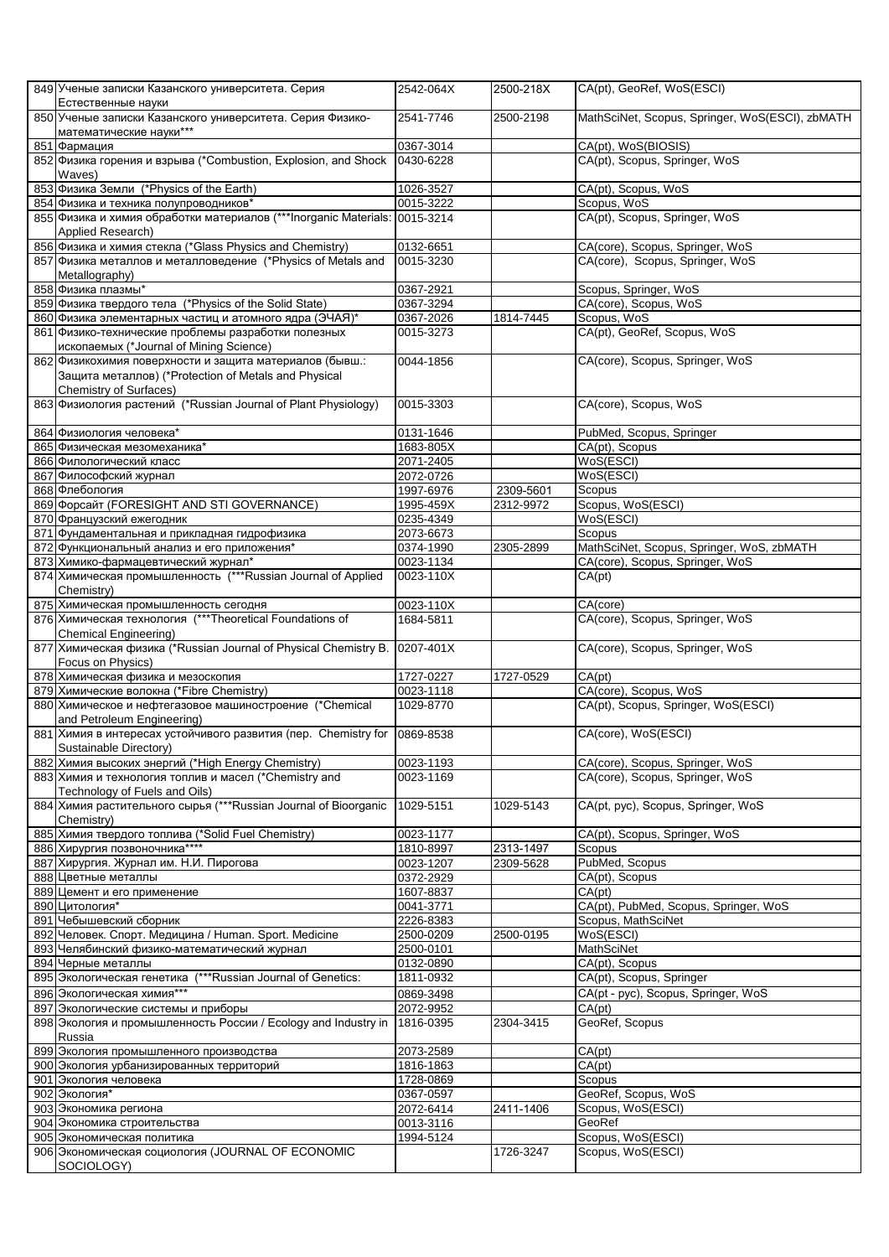|     | 849 Ученые записки Казанского университета. Серия<br>Естественные науки                               | 2542-064X              | 2500-218X              | CA(pt), GeoRef, WoS(ESCI)                       |
|-----|-------------------------------------------------------------------------------------------------------|------------------------|------------------------|-------------------------------------------------|
|     | 850 Ученые записки Казанского университета. Серия Физико-<br>математические науки***                  | 2541-7746              | 2500-2198              | MathSciNet, Scopus, Springer, WoS(ESCI), zbMATH |
| 851 | Фармация                                                                                              | 0367-3014              |                        | CA(pt), WoS(BIOSIS)                             |
|     | 852 Физика горения и взрыва (*Combustion, Explosion, and Shock<br>Waves)                              | 0430-6228              |                        | CA(pt), Scopus, Springer, WoS                   |
|     | 853 Физика Земли (*Physics of the Earth)                                                              | 1026-3527              |                        | CA(pt), Scopus, WoS                             |
|     | 854 Физика и техника полупроводников*                                                                 | 0015-3222              |                        | Scopus, WoS                                     |
|     | 855 Физика и химия обработки материалов (***Inorganic Materials: 0015-3214                            |                        |                        | CA(pt), Scopus, Springer, WoS                   |
|     | Applied Research)                                                                                     |                        |                        |                                                 |
|     | 856 Физика и химия стекла (*Glass Physics and Chemistry)                                              | 0132-6651              |                        | CA(core), Scopus, Springer, WoS                 |
|     | 857 Физика металлов и металловедение (*Physics of Metals and                                          | 0015-3230              |                        | CA(core), Scopus, Springer, WoS                 |
|     | Metallography)                                                                                        |                        |                        |                                                 |
|     | 858 Физика плазмы*                                                                                    | 0367-2921              |                        | Scopus, Springer, WoS                           |
|     | 859 Физика твердого тела (*Physics of the Solid State)                                                | 0367-3294              |                        | CA(core), Scopus, WoS                           |
|     | 860 Физика элементарных частиц и атомного ядра (ЭЧАЯ)*                                                | 0367-2026              | 1814-7445              | Scopus, WoS                                     |
|     | 861 Физико-технические проблемы разработки полезных<br>ископаемых (*Journal of Mining Science)        | 0015-3273              |                        | CA(pt), GeoRef, Scopus, WoS                     |
|     | 862 Физикохимия поверхности и защита материалов (бывш.:                                               | 0044-1856              |                        | CA(core), Scopus, Springer, WoS                 |
|     | Защита металлов) (*Protection of Metals and Physical                                                  |                        |                        |                                                 |
|     | Chemistry of Surfaces)                                                                                |                        |                        |                                                 |
|     | 863 Физиология растений (*Russian Journal of Plant Physiology)                                        | 0015-3303              |                        | CA(core), Scopus, WoS                           |
|     |                                                                                                       |                        |                        |                                                 |
|     | 864 Физиология человека*                                                                              | 0131-1646              |                        | PubMed, Scopus, Springer                        |
|     | 865 Физическая мезомеханика*                                                                          | 1683-805X              |                        | CA(pt), Scopus                                  |
|     | 866 Филологический класс                                                                              | 2071-2405              |                        | WoS(ESCI)                                       |
|     | 867 Философский журнал                                                                                | 2072-0726              |                        | WoS(ESCI)                                       |
|     | 868 Флебология<br>869 Форсайт (FORESIGHT AND STI GOVERNANCE)                                          | 1997-6976<br>1995-459X | 2309-5601<br>2312-9972 | Scopus<br>Scopus, WoS(ESCI)                     |
|     | 870 Французский ежегодник                                                                             | 0235-4349              |                        | WoS(ESCI)                                       |
|     | 871 Фундаментальная и прикладная гидрофизика                                                          | 2073-6673              |                        | Scopus                                          |
|     | 872 Функциональный анализ и его приложения*                                                           | 0374-1990              | 2305-2899              | MathSciNet, Scopus, Springer, WoS, zbMATH       |
|     | 873 Химико-фармацевтический журнал*                                                                   | 0023-1134              |                        | CA(core), Scopus, Springer, WoS                 |
|     | 874 Химическая промышленность (***Russian Journal of Applied                                          | 0023-110X              |                        | CA(pt)                                          |
|     | Chemistry)                                                                                            |                        |                        |                                                 |
|     | 875 Химическая промышленность сегодня                                                                 | 0023-110X              |                        | CA(core)                                        |
|     | 876 Химическая технология (***Theoretical Foundations of                                              | 1684-5811              |                        | CA(core), Scopus, Springer, WoS                 |
|     | <b>Chemical Engineering)</b>                                                                          |                        |                        |                                                 |
|     | 877 Химическая физика (*Russian Journal of Physical Chemistry B.                                      | 0207-401X              |                        | CA(core), Scopus, Springer, WoS                 |
|     | Focus on Physics)<br>878 Химическая физика и мезоскопия                                               | 1727-0227              | 1727-0529              | CA(pt)                                          |
|     | 879 Химические волокна (*Fibre Chemistry)                                                             | 0023-1118              |                        | CA(core), Scopus, WoS                           |
|     | 880 Химическое и нефтегазовое машиностроение (*Chemical                                               | 1029-8770              |                        | CA(pt), Scopus, Springer, WoS(ESCI)             |
|     | and Petroleum Engineering)                                                                            |                        |                        |                                                 |
|     | 881 Химия в интересах устойчивого развития (пер. Chemistry for                                        | 0869-8538              |                        | CA(core), WoS(ESCI)                             |
|     | Sustainable Directory)                                                                                |                        |                        |                                                 |
|     | 882 Химия высоких энергий (*High Energy Chemistry)                                                    | 0023-1193              |                        | CA(core), Scopus, Springer, WoS                 |
|     | 883 Химия и технология топлив и масел (*Chemistry and                                                 | 0023-1169              |                        | CA(core), Scopus, Springer, WoS                 |
|     | Technology of Fuels and Oils)<br>884 Химия растительного сырья (***Russian Journal of Bioorganic      | 1029-5151              |                        | CA(pt, pyc), Scopus, Springer, WoS              |
|     | Chemistry)                                                                                            |                        | 1029-5143              |                                                 |
|     | 885 Химия твердого топлива (*Solid Fuel Chemistry)                                                    | 0023-1177              |                        | CA(pt), Scopus, Springer, WoS                   |
|     | 886 Хирургия позвоночника****                                                                         | 1810-8997              | 2313-1497              | Scopus                                          |
|     | 887 Хирургия. Журнал им. Н.И. Пирогова                                                                | 0023-1207              | 2309-5628              | PubMed, Scopus                                  |
|     | 888 Цветные металлы                                                                                   | 0372-2929              |                        | CA(pt), Scopus                                  |
|     | 889 Цемент и его применение                                                                           | 1607-8837              |                        | CA(pt)                                          |
|     | 890 Цитология*                                                                                        | 0041-3771              |                        | CA(pt), PubMed, Scopus, Springer, WoS           |
|     | 891 Чебышевский сборник                                                                               | 2226-8383<br>2500-0209 |                        | Scopus, MathSciNet                              |
|     | 892 Человек. Спорт. Медицина / Human. Sport. Medicine<br>893 Челябинский физико-математический журнал | 2500-0101              | 2500-0195              | WoS(ESCI)<br><b>MathSciNet</b>                  |
|     | 894 Черные металлы                                                                                    | 0132-0890              |                        | CA(pt), Scopus                                  |
|     | 895 Экологическая генетика (***Russian Journal of Genetics:                                           | 1811-0932              |                        | CA(pt), Scopus, Springer                        |
|     | 896 Экологическая химия***                                                                            | 0869-3498              |                        | CA(pt - pyc), Scopus, Springer, WoS             |
|     | 897 Экологические системы и приборы                                                                   | 2072-9952              |                        | CA(pt)                                          |
|     | 898 Экология и промышленность России / Ecology and Industry in<br>Russia                              | 1816-0395              | 2304-3415              | GeoRef, Scopus                                  |
|     | 899 Экология промышленного производства                                                               | 2073-2589              |                        | CA(pt)                                          |
|     | 900 Экология урбанизированных территорий                                                              | 1816-1863              |                        | CA(pt)                                          |
|     | 901 Экология человека                                                                                 | 1728-0869              |                        | Scopus                                          |
|     | 902 Экология*                                                                                         | 0367-0597              |                        | GeoRef, Scopus, WoS                             |
|     | 903 Экономика региона                                                                                 | 2072-6414              | 2411-1406              | Scopus, WoS(ESCI)                               |
|     | 904 Экономика строительства<br>905 Экономическая политика                                             | 0013-3116<br>1994-5124 |                        | GeoRef<br>Scopus, WoS(ESCI)                     |
|     | 906 Экономическая социология (JOURNAL OF ECONOMIC                                                     |                        | 1726-3247              | Scopus, WoS(ESCI)                               |
|     | SOCIOLOGY)                                                                                            |                        |                        |                                                 |
|     |                                                                                                       |                        |                        |                                                 |